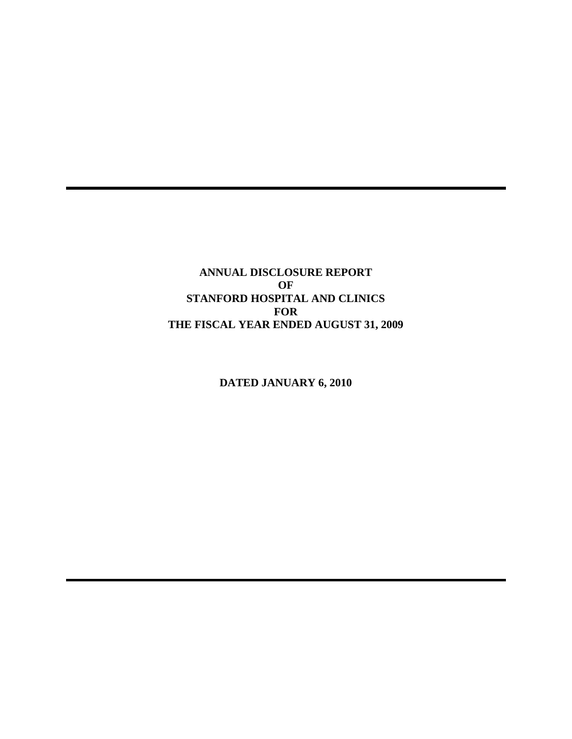**ANNUAL DISCLOSURE REPORT OF STANFORD HOSPITAL AND CLINICS FOR THE FISCAL YEAR ENDED AUGUST 31, 2009** 

**DATED JANUARY 6, 2010**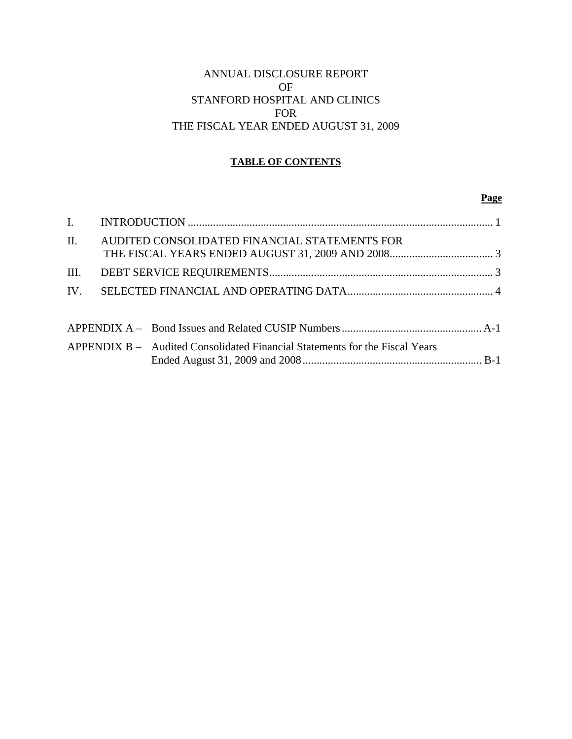# ANNUAL DISCLOSURE REPORT OF STANFORD HOSPITAL AND CLINICS FOR THE FISCAL YEAR ENDED AUGUST 31, 2009

# **TABLE OF CONTENTS**

#### **Page**

| II.  | AUDITED CONSOLIDATED FINANCIAL STATEMENTS FOR                               |  |
|------|-----------------------------------------------------------------------------|--|
| III. |                                                                             |  |
|      |                                                                             |  |
|      |                                                                             |  |
|      |                                                                             |  |
|      | APPENDIX B – Audited Consolidated Financial Statements for the Fiscal Years |  |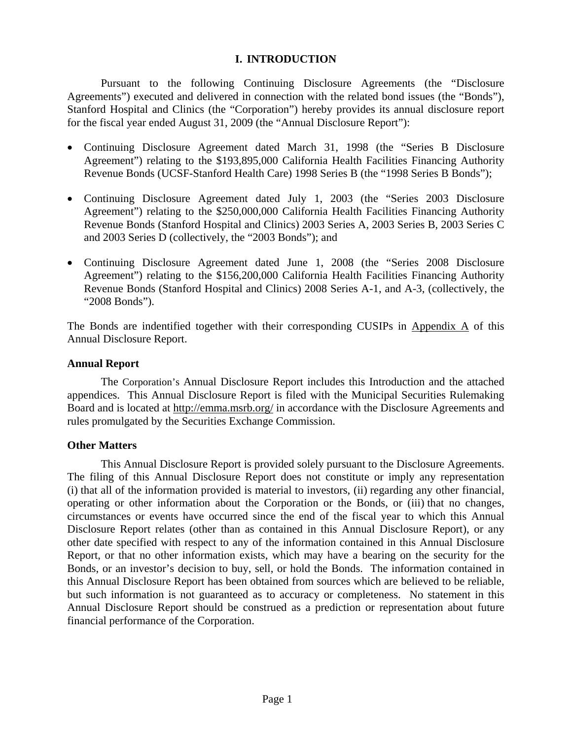# **I. INTRODUCTION**

Pursuant to the following Continuing Disclosure Agreements (the "Disclosure Agreements") executed and delivered in connection with the related bond issues (the "Bonds"), Stanford Hospital and Clinics (the "Corporation") hereby provides its annual disclosure report for the fiscal year ended August 31, 2009 (the "Annual Disclosure Report"):

- Continuing Disclosure Agreement dated March 31, 1998 (the "Series B Disclosure Agreement") relating to the \$193,895,000 California Health Facilities Financing Authority Revenue Bonds (UCSF-Stanford Health Care) 1998 Series B (the "1998 Series B Bonds");
- Continuing Disclosure Agreement dated July 1, 2003 (the "Series 2003 Disclosure Agreement") relating to the \$250,000,000 California Health Facilities Financing Authority Revenue Bonds (Stanford Hospital and Clinics) 2003 Series A, 2003 Series B, 2003 Series C and 2003 Series D (collectively, the "2003 Bonds"); and
- Continuing Disclosure Agreement dated June 1, 2008 (the "Series 2008 Disclosure Agreement") relating to the \$156,200,000 California Health Facilities Financing Authority Revenue Bonds (Stanford Hospital and Clinics) 2008 Series A-1, and A-3, (collectively, the "2008 Bonds").

The Bonds are indentified together with their corresponding CUSIPs in Appendix A of this Annual Disclosure Report.

## **Annual Report**

The Corporation's Annual Disclosure Report includes this Introduction and the attached appendices. This Annual Disclosure Report is filed with the Municipal Securities Rulemaking Board and is located at http://emma.msrb.org/ in accordance with the Disclosure Agreements and rules promulgated by the Securities Exchange Commission.

## **Other Matters**

This Annual Disclosure Report is provided solely pursuant to the Disclosure Agreements. The filing of this Annual Disclosure Report does not constitute or imply any representation (i) that all of the information provided is material to investors, (ii) regarding any other financial, operating or other information about the Corporation or the Bonds, or (iii) that no changes, circumstances or events have occurred since the end of the fiscal year to which this Annual Disclosure Report relates (other than as contained in this Annual Disclosure Report), or any other date specified with respect to any of the information contained in this Annual Disclosure Report, or that no other information exists, which may have a bearing on the security for the Bonds, or an investor's decision to buy, sell, or hold the Bonds. The information contained in this Annual Disclosure Report has been obtained from sources which are believed to be reliable, but such information is not guaranteed as to accuracy or completeness. No statement in this Annual Disclosure Report should be construed as a prediction or representation about future financial performance of the Corporation.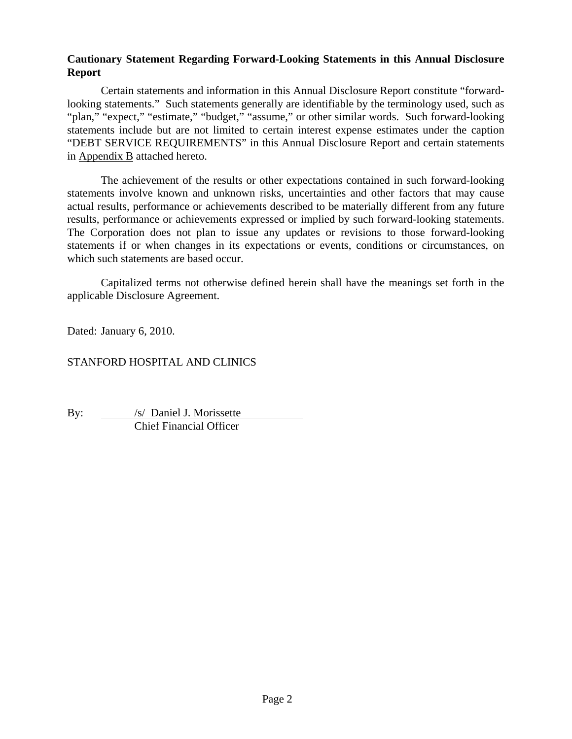# **Cautionary Statement Regarding Forward-Looking Statements in this Annual Disclosure Report**

Certain statements and information in this Annual Disclosure Report constitute "forwardlooking statements." Such statements generally are identifiable by the terminology used, such as "plan," "expect," "estimate," "budget," "assume," or other similar words. Such forward-looking statements include but are not limited to certain interest expense estimates under the caption "DEBT SERVICE REQUIREMENTS" in this Annual Disclosure Report and certain statements in Appendix B attached hereto.

The achievement of the results or other expectations contained in such forward-looking statements involve known and unknown risks, uncertainties and other factors that may cause actual results, performance or achievements described to be materially different from any future results, performance or achievements expressed or implied by such forward-looking statements. The Corporation does not plan to issue any updates or revisions to those forward-looking statements if or when changes in its expectations or events, conditions or circumstances, on which such statements are based occur.

Capitalized terms not otherwise defined herein shall have the meanings set forth in the applicable Disclosure Agreement.

Dated: January 6, 2010.

# STANFORD HOSPITAL AND CLINICS

By: /s/ Daniel J. Morissette Chief Financial Officer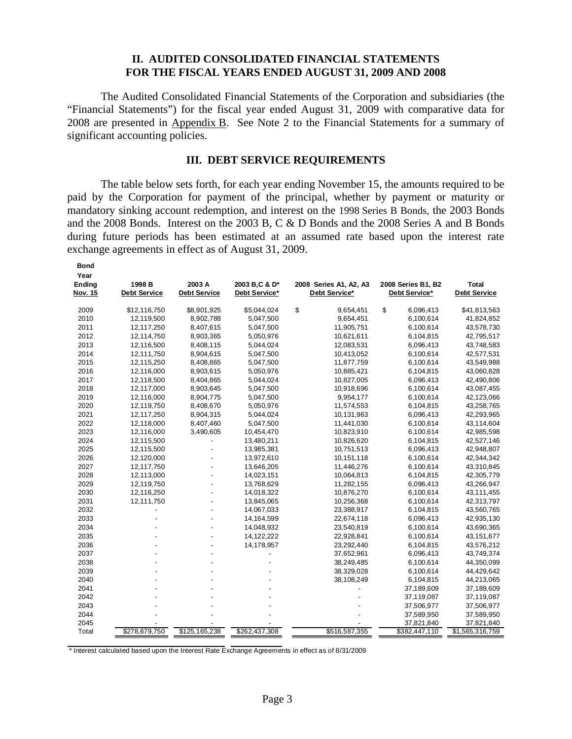### **II. AUDITED CONSOLIDATED FINANCIAL STATEMENTS FOR THE FISCAL YEARS ENDED AUGUST 31, 2009 AND 2008**

The Audited Consolidated Financial Statements of the Corporation and subsidiaries (the "Financial Statements") for the fiscal year ended August 31, 2009 with comparative data for 2008 are presented in Appendix B. See Note 2 to the Financial Statements for a summary of significant accounting policies.

#### **III. DEBT SERVICE REQUIREMENTS**

The table below sets forth, for each year ending November 15, the amounts required to be paid by the Corporation for payment of the principal, whether by payment or maturity or mandatory sinking account redemption, and interest on the 1998 Series B Bonds, the 2003 Bonds and the 2008 Bonds. Interest on the 2003 B, C & D Bonds and the 2008 Series A and B Bonds during future periods has been estimated at an assumed rate based upon the interest rate exchange agreements in effect as of August 31, 2009.

| Year           |                     |                     |               |                        |                    |                     |
|----------------|---------------------|---------------------|---------------|------------------------|--------------------|---------------------|
| Ending         | 1998 B              | 2003 A              | 2003 B.C & D* | 2008 Series A1, A2, A3 | 2008 Series B1, B2 | <b>Total</b>        |
| <b>Nov. 15</b> | <b>Debt Service</b> | <b>Debt Service</b> | Debt Service* | Debt Service*          | Debt Service*      | <b>Debt Service</b> |
| 2009           | \$12,116,750        | \$8,901,925         | \$5,044,024   | \$<br>9,654,451        | \$<br>6,096,413    | \$41,813,563        |
| 2010           | 12,119,500          | 8,902,788           | 5,047,500     | 9,654,451              | 6,100,614          | 41,824,852          |
| 2011           | 12,117,250          | 8,407,615           | 5,047,500     | 11,905,751             | 6,100,614          | 43,578,730          |
| 2012           | 12,114,750          | 8,903,365           | 5,050,976     | 10,621,611             | 6,104,815          | 42,795,517          |
| 2013           | 12,116,500          | 8,408,115           | 5,044,024     | 12,083,531             | 6,096,413          | 43,748,583          |
| 2014           | 12,111,750          | 8,904,615           | 5,047,500     | 10,413,052             | 6,100,614          | 42,577,531          |
| 2015           | 12,115,250          | 8,408,865           | 5,047,500     | 11,877,759             | 6,100,614          | 43,549,988          |
| 2016           | 12,116,000          | 8,903,615           | 5,050,976     | 10,885,421             | 6,104,815          | 43,060,828          |
| 2017           | 12,118,500          | 8,404,865           | 5,044,024     | 10,827,005             | 6,096,413          | 42,490,806          |
| 2018           | 12,117,000          | 8,903,645           | 5,047,500     | 10,918,696             | 6,100,614          | 43,087,455          |
| 2019           | 12,116,000          | 8,904,775           | 5,047,500     | 9,954,177              | 6,100,614          | 42,123,066          |
| 2020           | 12,119,750          | 8,408,670           | 5,050,976     | 11,574,553             | 6,104,815          | 43,258,765          |
| 2021           | 12,117,250          | 8,904,315           | 5,044,024     | 10,131,963             | 6,096,413          | 42,293,965          |
| 2022           | 12,118,000          | 8,407,460           | 5,047,500     | 11,441,030             | 6,100,614          | 43,114,604          |
| 2023           | 12,116,000          | 3,490,605           | 10,454,470    | 10,823,910             | 6,100,614          | 42,985,598          |
| 2024           | 12,115,500          |                     | 13,480,211    | 10,826,620             | 6,104,815          | 42,527,146          |
| 2025           | 12,115,500          |                     | 13,985,381    | 10,751,513             | 6,096,413          | 42,948,807          |
| 2026           | 12,120,000          |                     | 13,972,610    | 10,151,118             | 6,100,614          | 42,344,342          |
| 2027           | 12,117,750          |                     | 13,646,205    | 11,446,276             | 6,100,614          | 43,310,845          |
| 2028           | 12,113,000          |                     | 14,023,151    | 10,064,813             | 6,104,815          | 42,305,779          |
| 2029           | 12,119,750          | $\overline{a}$      | 13,768,629    | 11,282,155             | 6.096,413          | 43,266,947          |
| 2030           | 12,116,250          |                     | 14,018,322    | 10,876,270             | 6,100,614          | 43, 111, 455        |
| 2031           | 12,111,750          |                     | 13,845,065    | 10,256,368             | 6,100,614          | 42,313,797          |
| 2032           |                     |                     | 14,067,033    | 23,388,917             | 6,104,815          | 43,560,765          |
| 2033           |                     |                     | 14,164,599    | 22,674,118             | 6,096,413          | 42,935,130          |
| 2034           |                     |                     | 14,048,932    | 23,540,819             | 6,100,614          | 43,690,365          |
| 2035           |                     |                     | 14, 122, 222  | 22,928,841             | 6,100,614          | 43, 151, 677        |
| 2036           |                     |                     | 14,178,957    | 23,292,440             | 6,104,815          | 43,576,212          |
| 2037           |                     |                     |               | 37,652,961             | 6,096,413          | 43,749,374          |
| 2038           |                     |                     |               | 38,249,485             | 6,100,614          | 44,350,099          |
| 2039           |                     |                     |               | 38,329,028             | 6,100,614          | 44,429,642          |
| 2040           |                     |                     |               | 38,108,249             | 6,104,815          | 44,213,065          |
| 2041           |                     |                     |               |                        | 37,189,609         | 37,189,609          |
| 2042           |                     |                     |               |                        | 37,119,087         | 37,119,087          |
| 2043           |                     |                     |               |                        | 37,506,977         | 37,506,977          |
| 2044           |                     |                     |               |                        | 37,589,950         | 37,589,950          |
| 2045           |                     |                     |               |                        | 37,821,840         | 37,821,840          |
| Total          | \$278,679,750       | \$125,165,238       | \$262,437,308 | \$516,587,355          | \$382,447,110      | \$1,565,316,759     |

\* Interest calculated based upon the Interest Rate Exchange Agreements in effect as of 8/31/2009

**Bond**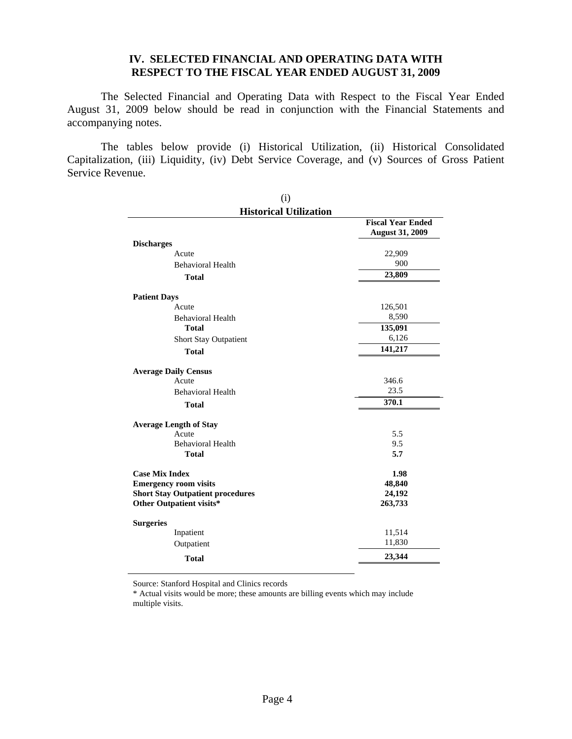## **IV. SELECTED FINANCIAL AND OPERATING DATA WITH RESPECT TO THE FISCAL YEAR ENDED AUGUST 31, 2009**

The Selected Financial and Operating Data with Respect to the Fiscal Year Ended August 31, 2009 below should be read in conjunction with the Financial Statements and accompanying notes.

The tables below provide (i) Historical Utilization, (ii) Historical Consolidated Capitalization, (iii) Liquidity, (iv) Debt Service Coverage, and (v) Sources of Gross Patient Service Revenue.

| (i)                                     |                                                    |
|-----------------------------------------|----------------------------------------------------|
| <b>Historical Utilization</b>           |                                                    |
|                                         | <b>Fiscal Year Ended</b><br><b>August 31, 2009</b> |
| <b>Discharges</b>                       |                                                    |
| Acute                                   | 22,909                                             |
| <b>Behavioral Health</b>                | 900                                                |
| <b>Total</b>                            | 23,809                                             |
| <b>Patient Days</b>                     |                                                    |
| Acute                                   | 126,501                                            |
| <b>Behavioral Health</b>                | 8,590                                              |
| <b>Total</b>                            | 135,091                                            |
| Short Stay Outpatient                   | 6,126                                              |
| <b>Total</b>                            | 141,217                                            |
| <b>Average Daily Census</b>             |                                                    |
| Acute                                   | 346.6                                              |
| <b>Behavioral Health</b>                | 23.5                                               |
| <b>Total</b>                            | 370.1                                              |
| <b>Average Length of Stay</b>           |                                                    |
| Acute                                   | 5.5                                                |
| <b>Behavioral Health</b>                | 9.5                                                |
| <b>Total</b>                            | 5.7                                                |
| <b>Case Mix Index</b>                   | 1.98                                               |
| <b>Emergency room visits</b>            | 48,840                                             |
| <b>Short Stay Outpatient procedures</b> | 24,192                                             |
| Other Outpatient visits*                | 263,733                                            |
| <b>Surgeries</b>                        |                                                    |
| Inpatient                               | 11,514                                             |
| Outpatient                              | 11,830                                             |
| <b>Total</b>                            | 23,344                                             |

Source: Stanford Hospital and Clinics records

\* Actual visits would be more; these amounts are billing events which may include multiple visits.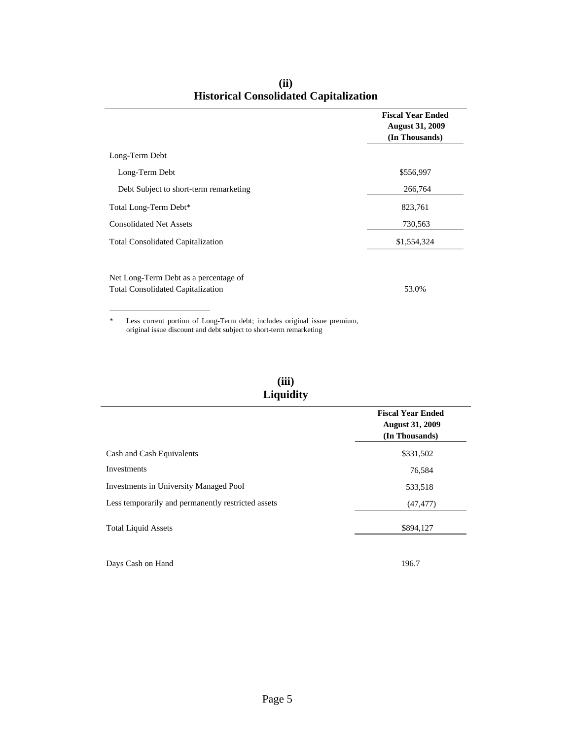|                                                                                   | <b>Fiscal Year Ended</b><br><b>August 31, 2009</b><br>(In Thousands) |
|-----------------------------------------------------------------------------------|----------------------------------------------------------------------|
| Long-Term Debt                                                                    |                                                                      |
| Long-Term Debt                                                                    | \$556,997                                                            |
| Debt Subject to short-term remarketing                                            | 266,764                                                              |
| Total Long-Term Debt*                                                             | 823,761                                                              |
| <b>Consolidated Net Assets</b>                                                    | 730,563                                                              |
| <b>Total Consolidated Capitalization</b>                                          | \$1,554,324                                                          |
| Net Long-Term Debt as a percentage of<br><b>Total Consolidated Capitalization</b> | 53.0%                                                                |

**(ii) Historical Consolidated Capitalization**

\* Less current portion of Long-Term debt; includes original issue premium, original issue discount and debt subject to short-term remarketing

| (iii)     |
|-----------|
| Liquidity |

|                                                    | <b>Fiscal Year Ended</b><br><b>August 31, 2009</b><br>(In Thousands) |
|----------------------------------------------------|----------------------------------------------------------------------|
| Cash and Cash Equivalents                          | \$331,502                                                            |
| Investments                                        | 76,584                                                               |
| <b>Investments in University Managed Pool</b>      | 533,518                                                              |
| Less temporarily and permanently restricted assets | (47, 477)                                                            |
| <b>Total Liquid Assets</b>                         | \$894.127                                                            |

Days Cash on Hand 196.7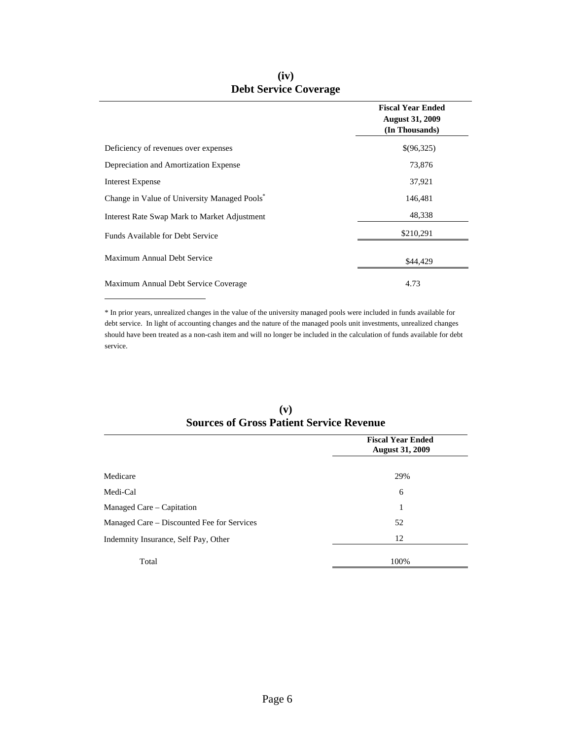|                                                          | <b>Fiscal Year Ended</b><br><b>August 31, 2009</b><br>(In Thousands) |
|----------------------------------------------------------|----------------------------------------------------------------------|
| Deficiency of revenues over expenses                     | \$(96,325)                                                           |
| Depreciation and Amortization Expense                    | 73,876                                                               |
| <b>Interest Expense</b>                                  | 37,921                                                               |
| Change in Value of University Managed Pools <sup>*</sup> | 146,481                                                              |
| Interest Rate Swap Mark to Market Adjustment             | 48,338                                                               |
| Funds Available for Debt Service                         | \$210,291                                                            |
| Maximum Annual Debt Service                              | \$44,429                                                             |
| Maximum Annual Debt Service Coverage                     | 4.73                                                                 |

# **(iv) Debt Service Coverage**

\* In prior years, unrealized changes in the value of the university managed pools were included in funds available for debt service. In light of accounting changes and the nature of the managed pools unit investments, unrealized changes should have been treated as a non-cash item and will no longer be included in the calculation of funds available for debt service.

֦

|                                            | <b>Fiscal Year Ended</b><br><b>August 31, 2009</b> |
|--------------------------------------------|----------------------------------------------------|
| Medicare                                   | 29%                                                |
| Medi-Cal                                   | 6                                                  |
| Managed Care – Capitation                  | 1                                                  |
| Managed Care – Discounted Fee for Services | 52                                                 |
| Indemnity Insurance, Self Pay, Other       | 12                                                 |
| Total                                      | 100%                                               |

#### **(v) Sources of Gross Patient Service Revenue**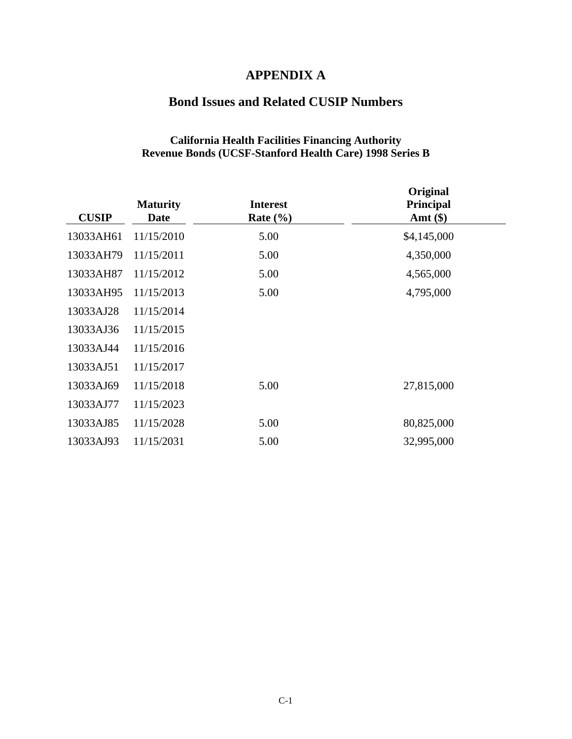# **APPENDIX A**

# **Bond Issues and Related CUSIP Numbers**

## **California Health Facilities Financing Authority Revenue Bonds (UCSF-Stanford Health Care) 1998 Series B**

| <b>CUSIP</b> | <b>Maturity</b><br><b>Date</b> | <b>Interest</b><br>Rate $(\% )$ | Original<br>Principal<br>Amt $(\$)$ |  |
|--------------|--------------------------------|---------------------------------|-------------------------------------|--|
| 13033AH61    | 11/15/2010                     | 5.00                            | \$4,145,000                         |  |
| 13033AH79    | 11/15/2011                     | 5.00                            | 4,350,000                           |  |
| 13033AH87    | 11/15/2012                     | 5.00                            | 4,565,000                           |  |
| 13033AH95    | 11/15/2013                     | 5.00                            | 4,795,000                           |  |
| 13033AJ28    | 11/15/2014                     |                                 |                                     |  |
| 13033AJ36    | 11/15/2015                     |                                 |                                     |  |
| 13033AJ44    | 11/15/2016                     |                                 |                                     |  |
| 13033AJ51    | 11/15/2017                     |                                 |                                     |  |
| 13033AJ69    | 11/15/2018                     | 5.00                            | 27,815,000                          |  |
| 13033AJ77    | 11/15/2023                     |                                 |                                     |  |
| 13033AJ85    | 11/15/2028                     | 5.00                            | 80,825,000                          |  |
| 13033AJ93    | 11/15/2031                     | 5.00                            | 32,995,000                          |  |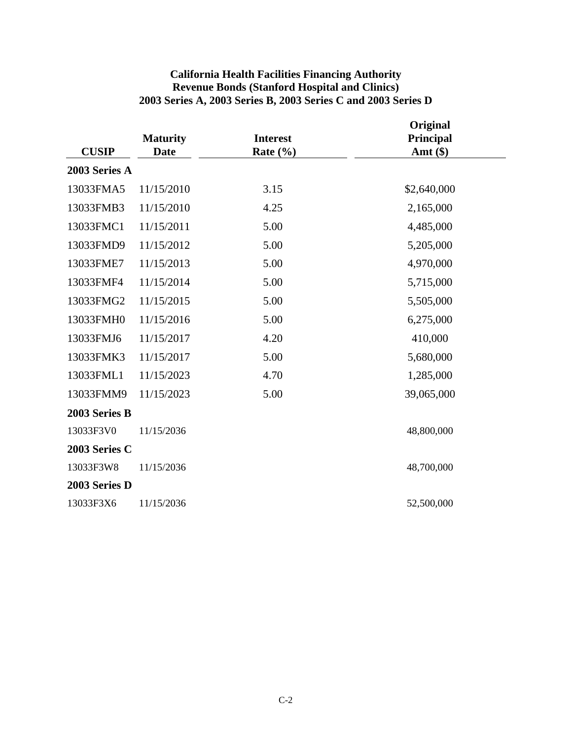|               |                                |                                 | Original                |  |
|---------------|--------------------------------|---------------------------------|-------------------------|--|
| <b>CUSIP</b>  | <b>Maturity</b><br><b>Date</b> | <b>Interest</b><br>Rate $(\% )$ | Principal<br>Amt $(\$)$ |  |
| 2003 Series A |                                |                                 |                         |  |
| 13033FMA5     | 11/15/2010                     | 3.15                            | \$2,640,000             |  |
| 13033FMB3     | 11/15/2010                     | 4.25                            | 2,165,000               |  |
| 13033FMC1     | 11/15/2011                     | 5.00                            | 4,485,000               |  |
| 13033FMD9     | 11/15/2012                     | 5.00                            | 5,205,000               |  |
| 13033FME7     | 11/15/2013                     | 5.00                            | 4,970,000               |  |
| 13033FMF4     | 11/15/2014                     | 5.00                            | 5,715,000               |  |
| 13033FMG2     | 11/15/2015                     | 5.00                            | 5,505,000               |  |
| 13033FMH0     | 11/15/2016                     | 5.00                            | 6,275,000               |  |
| 13033FMJ6     | 11/15/2017                     | 4.20                            | 410,000                 |  |
| 13033FMK3     | 11/15/2017                     | 5.00                            | 5,680,000               |  |
| 13033FML1     | 11/15/2023                     | 4.70                            | 1,285,000               |  |
| 13033FMM9     | 11/15/2023                     | 5.00                            | 39,065,000              |  |
| 2003 Series B |                                |                                 |                         |  |
| 13033F3V0     | 11/15/2036                     |                                 | 48,800,000              |  |
| 2003 Series C |                                |                                 |                         |  |
| 13033F3W8     | 11/15/2036                     |                                 | 48,700,000              |  |
| 2003 Series D |                                |                                 |                         |  |
| 13033F3X6     | 11/15/2036                     |                                 | 52,500,000              |  |

# **California Health Facilities Financing Authority Revenue Bonds (Stanford Hospital and Clinics) 2003 Series A, 2003 Series B, 2003 Series C and 2003 Series D**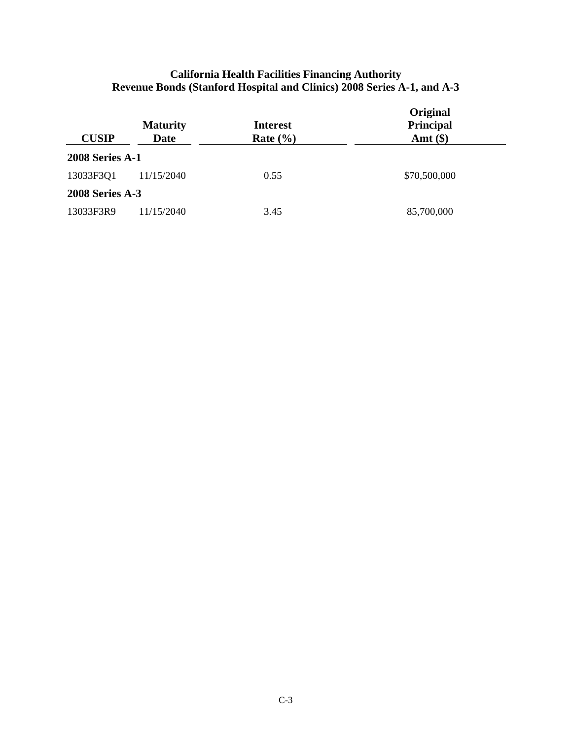| <b>CUSIP</b>           | <b>Maturity</b><br><b>Date</b> | <b>Interest</b><br>Rate $(\% )$ | Original<br>Principal<br>Amt $(\$)$ |
|------------------------|--------------------------------|---------------------------------|-------------------------------------|
| <b>2008 Series A-1</b> |                                |                                 |                                     |
| 13033F3Q1              | 11/15/2040                     | 0.55                            | \$70,500,000                        |
| <b>2008 Series A-3</b> |                                |                                 |                                     |
| 13033F3R9              | 11/15/2040                     | 3.45                            | 85,700,000                          |

# **California Health Facilities Financing Authority Revenue Bonds (Stanford Hospital and Clinics) 2008 Series A-1, and A-3**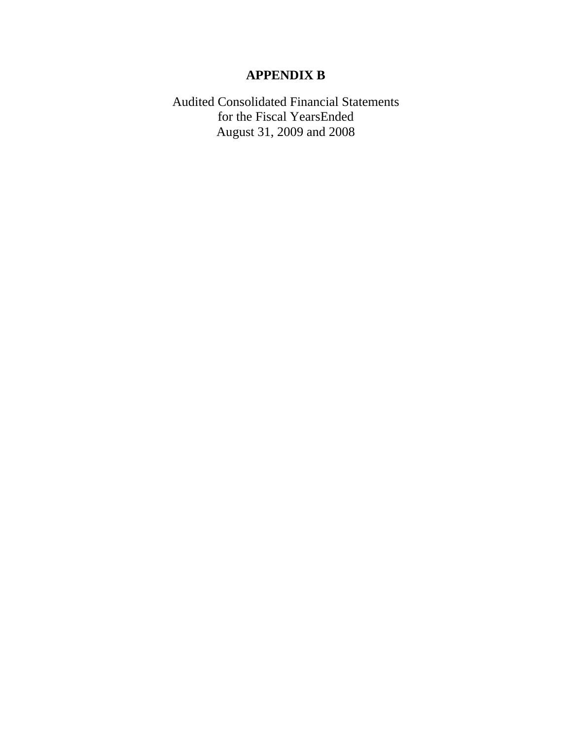# **APPENDIX B**

Audited Consolidated Financial Statements for the Fiscal YearsEnded August 31, 2009 and 2008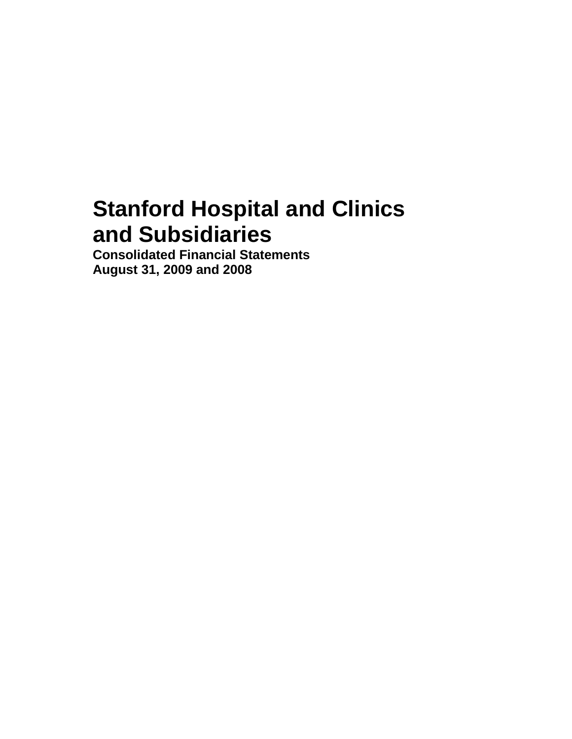# **Stanford Hospital and Clinics and Subsidiaries**

**Consolidated Financial Statements August 31, 2009 and 2008**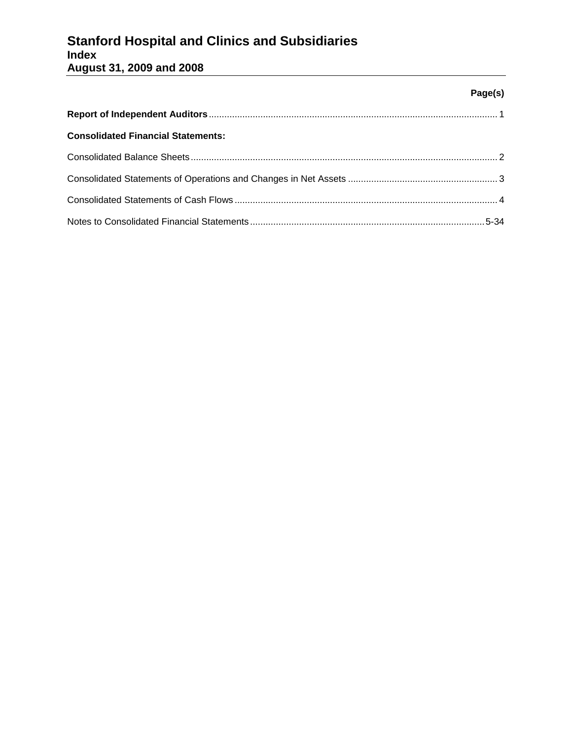# **Stanford Hospital and Clinics and Subsidiaries Index August 31, 2009 and 2008**

## **Page(s)**

| <b>Consolidated Financial Statements:</b> |  |
|-------------------------------------------|--|
|                                           |  |
|                                           |  |
|                                           |  |
|                                           |  |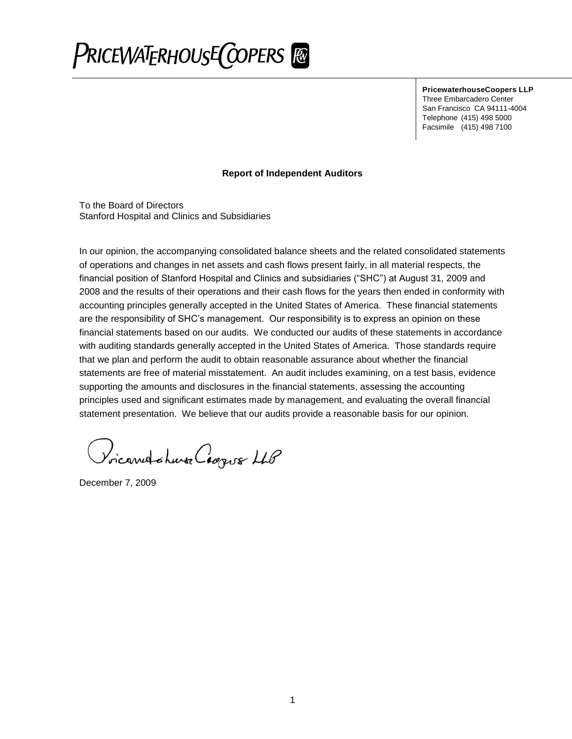# PRICEWATERHOUSE COPERS

**PricewaterhouseCoopers LLP** Three Embarcadero Center San Francisco CA 94111-4004 Telephone (415) 498 5000 Facsimile (415) 498 7100

### **Report of Independent Auditors**

To the Board of Directors Stanford Hospital and Clinics and Subsidiaries

In our opinion, the accompanying consolidated balance sheets and the related consolidated statements of operations and changes in net assets and cash flows present fairly, in all material respects, the financial position of Stanford Hospital and Clinics and subsidiaries ("SHC") at August 31, 2009 and 2008 and the results of their operations and their cash flows for the years then ended in conformity with accounting principles generally accepted in the United States of America. These financial statements are the responsibility of SHC's management. Our responsibility is to express an opinion on these financial statements based on our audits. We conducted our audits of these statements in accordance with auditing standards generally accepted in the United States of America. Those standards require that we plan and perform the audit to obtain reasonable assurance about whether the financial statements are free of material misstatement. An audit includes examining, on a test basis, evidence supporting the amounts and disclosures in the financial statements, assessing the accounting principles used and significant estimates made by management, and evaluating the overall financial statement presentation. We believe that our audits provide a reasonable basis for our opinion.

Voicandohuse Coopus LLP

December 7, 2009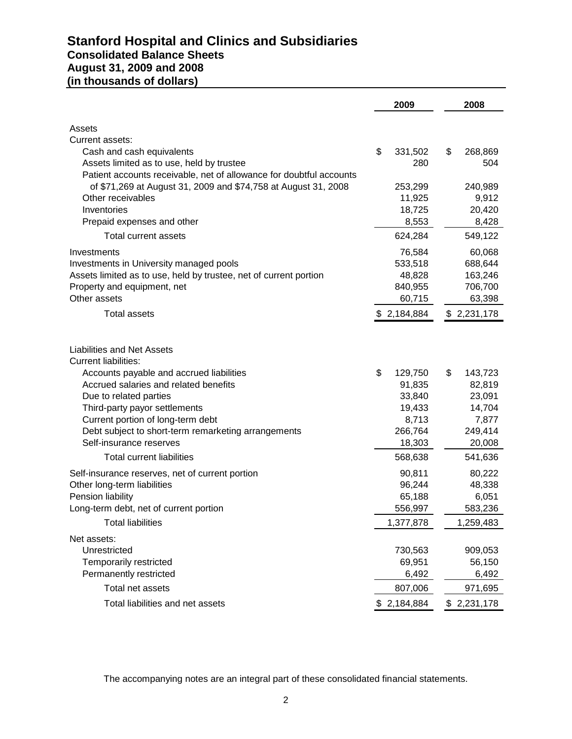# **Stanford Hospital and Clinics and Subsidiaries Consolidated Balance Sheets August 31, 2009 and 2008 (in thousands of dollars)**

|                                                                     | 2009            | 2008            |
|---------------------------------------------------------------------|-----------------|-----------------|
| Assets                                                              |                 |                 |
| Current assets:                                                     |                 |                 |
| Cash and cash equivalents                                           | \$<br>331,502   | \$<br>268,869   |
| Assets limited as to use, held by trustee                           | 280             | 504             |
| Patient accounts receivable, net of allowance for doubtful accounts |                 |                 |
| of \$71,269 at August 31, 2009 and \$74,758 at August 31, 2008      | 253,299         | 240,989         |
| Other receivables                                                   | 11,925          | 9,912           |
| Inventories                                                         | 18,725          | 20,420          |
| Prepaid expenses and other                                          | 8,553           | 8,428           |
| Total current assets                                                | 624,284         | 549,122         |
| Investments                                                         | 76,584          | 60,068          |
| Investments in University managed pools                             | 533,518         | 688,644         |
| Assets limited as to use, held by trustee, net of current portion   | 48,828          | 163,246         |
| Property and equipment, net                                         | 840,955         | 706,700         |
| Other assets                                                        | 60,715          | 63,398          |
| <b>Total assets</b>                                                 | \$2,184,884     | \$2,231,178     |
| <b>Liabilities and Net Assets</b><br><b>Current liabilities:</b>    |                 |                 |
| Accounts payable and accrued liabilities                            | \$<br>129,750   | \$<br>143,723   |
| Accrued salaries and related benefits                               | 91,835          | 82,819          |
| Due to related parties                                              | 33,840          | 23,091          |
| Third-party payor settlements<br>Current portion of long-term debt  | 19,433<br>8,713 | 14,704<br>7,877 |
| Debt subject to short-term remarketing arrangements                 | 266,764         | 249,414         |
| Self-insurance reserves                                             | 18,303          | 20,008          |
| <b>Total current liabilities</b>                                    | 568,638         | 541,636         |
| Self-insurance reserves, net of current portion                     | 90,811          | 80,222          |
| Other long-term liabilities                                         | 96,244          | 48,338          |
| Pension liability                                                   | 65,188          | 6,051           |
| Long-term debt, net of current portion                              | 556,997         | 583,236         |
| <b>Total liabilities</b>                                            | 1,377,878       | 1,259,483       |
| Net assets:                                                         |                 |                 |
| Unrestricted                                                        | 730,563         | 909,053         |
| Temporarily restricted                                              | 69,951          | 56,150          |
| Permanently restricted                                              | 6,492           | 6,492           |
| Total net assets                                                    | 807,006         | 971,695         |
| Total liabilities and net assets                                    | \$2,184,884     | \$2,231,178     |

The accompanying notes are an integral part of these consolidated financial statements.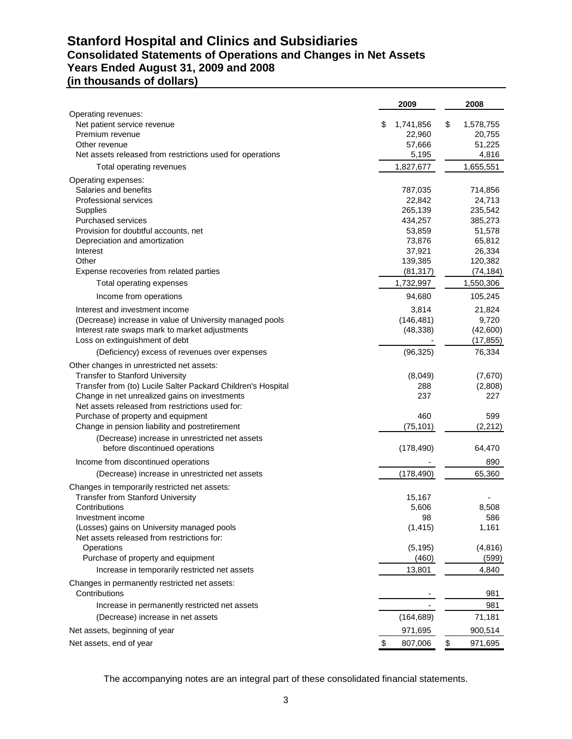# **Stanford Hospital and Clinics and Subsidiaries Consolidated Statements of Operations and Changes in Net Assets Years Ended August 31, 2009 and 2008**

| (in thousands of dollars) |
|---------------------------|
|---------------------------|

|                                                                                      | 2009                      | 2008                      |
|--------------------------------------------------------------------------------------|---------------------------|---------------------------|
| Operating revenues:                                                                  |                           |                           |
| Net patient service revenue<br>Premium revenue                                       | 1,741,856<br>\$<br>22,960 | \$<br>1,578,755<br>20,755 |
| Other revenue                                                                        | 57,666                    | 51,225                    |
| Net assets released from restrictions used for operations                            | 5,195                     | 4,816                     |
| Total operating revenues                                                             | 1,827,677                 | 1,655,551                 |
| Operating expenses:                                                                  |                           |                           |
| Salaries and benefits                                                                | 787,035                   | 714,856                   |
| Professional services                                                                | 22,842                    | 24,713                    |
| <b>Supplies</b>                                                                      | 265,139                   | 235,542                   |
| <b>Purchased services</b>                                                            | 434,257                   | 385,273                   |
| Provision for doubtful accounts, net                                                 | 53,859                    | 51,578                    |
| Depreciation and amortization                                                        | 73,876                    | 65,812                    |
| Interest                                                                             | 37,921                    | 26,334                    |
| Other<br>Expense recoveries from related parties                                     | 139,385<br>(81, 317)      | 120,382<br>(74, 184)      |
| Total operating expenses                                                             | 1,732,997                 | 1,550,306                 |
| Income from operations                                                               | 94,680                    | 105,245                   |
| Interest and investment income                                                       | 3,814                     | 21,824                    |
| (Decrease) increase in value of University managed pools                             | (146, 481)                | 9,720                     |
| Interest rate swaps mark to market adjustments                                       | (48, 338)                 | (42,600)                  |
| Loss on extinguishment of debt                                                       |                           | (17, 855)                 |
| (Deficiency) excess of revenues over expenses                                        | (96, 325)                 | 76,334                    |
| Other changes in unrestricted net assets:                                            |                           |                           |
| <b>Transfer to Stanford University</b>                                               | (8,049)                   | (7,670)                   |
| Transfer from (to) Lucile Salter Packard Children's Hospital                         | 288                       | (2,808)                   |
| Change in net unrealized gains on investments                                        | 237                       | 227                       |
| Net assets released from restrictions used for:                                      |                           |                           |
| Purchase of property and equipment<br>Change in pension liability and postretirement | 460<br>(75, 101)          | 599<br>(2, 212)           |
|                                                                                      |                           |                           |
| (Decrease) increase in unrestricted net assets<br>before discontinued operations     | (178, 490)                | 64,470                    |
| Income from discontinued operations                                                  |                           | 890                       |
| (Decrease) increase in unrestricted net assets                                       | (178, 490)                | 65,360                    |
| Changes in temporarily restricted net assets:                                        |                           |                           |
| <b>Transfer from Stanford University</b>                                             | 15,167                    |                           |
| Contributions                                                                        | 5,606                     | 8,508                     |
| Investment income                                                                    | 98                        | 586                       |
| (Losses) gains on University managed pools                                           | (1, 415)                  | 1,161                     |
| Net assets released from restrictions for:                                           |                           |                           |
| Operations<br>Purchase of property and equipment                                     | (5, 195)<br>(460)         | (4, 816)<br>(599)         |
| Increase in temporarily restricted net assets                                        | 13,801                    | 4,840                     |
| Changes in permanently restricted net assets:                                        |                           |                           |
| Contributions                                                                        |                           | 981                       |
| Increase in permanently restricted net assets                                        |                           | 981                       |
| (Decrease) increase in net assets                                                    | (164, 689)                | 71,181                    |
| Net assets, beginning of year                                                        | 971,695                   | 900,514                   |
| Net assets, end of year                                                              | \$<br>807,006             | \$<br>971,695             |

The accompanying notes are an integral part of these consolidated financial statements.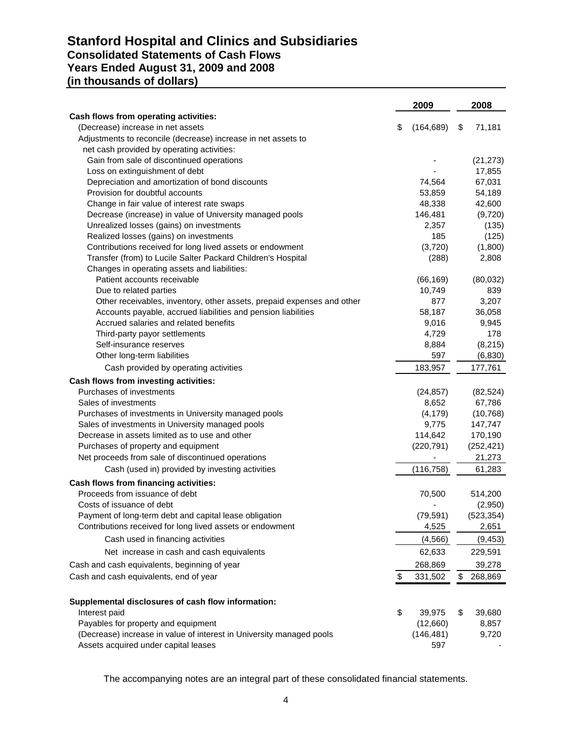# **Stanford Hospital and Clinics and Subsidiaries Consolidated Statements of Cash Flows Years Ended August 31, 2009 and 2008 (in thousands of dollars)**

|                                                                        | 2009             | 2008          |
|------------------------------------------------------------------------|------------------|---------------|
| Cash flows from operating activities:                                  |                  |               |
| (Decrease) increase in net assets                                      | \$<br>(164, 689) | \$<br>71,181  |
| Adjustments to reconcile (decrease) increase in net assets to          |                  |               |
| net cash provided by operating activities:                             |                  |               |
| Gain from sale of discontinued operations                              |                  | (21, 273)     |
| Loss on extinguishment of debt                                         |                  | 17,855        |
| Depreciation and amortization of bond discounts                        | 74,564           | 67,031        |
| Provision for doubtful accounts                                        | 53,859           | 54,189        |
| Change in fair value of interest rate swaps                            | 48,338           | 42,600        |
| Decrease (increase) in value of University managed pools               | 146,481          | (9,720)       |
| Unrealized losses (gains) on investments                               | 2,357            | (135)         |
| Realized losses (gains) on investments                                 | 185              | (125)         |
| Contributions received for long lived assets or endowment              | (3,720)          | (1,800)       |
| Transfer (from) to Lucile Salter Packard Children's Hospital           | (288)            | 2,808         |
| Changes in operating assets and liabilities:                           |                  |               |
| Patient accounts receivable                                            | (66, 169)        | (80,032)      |
| Due to related parties                                                 | 10,749           | 839           |
| Other receivables, inventory, other assets, prepaid expenses and other | 877              | 3,207         |
| Accounts payable, accrued liabilities and pension liabilities          | 58,187           | 36,058        |
| Accrued salaries and related benefits                                  | 9,016            | 9,945         |
| Third-party payor settlements                                          | 4,729            | 178           |
| Self-insurance reserves                                                | 8,884            | (8, 215)      |
| Other long-term liabilities                                            | 597              | (6, 830)      |
| Cash provided by operating activities                                  | 183,957          | 177,761       |
| Cash flows from investing activities:                                  |                  |               |
| Purchases of investments                                               | (24, 857)        | (82, 524)     |
| Sales of investments                                                   | 8,652            | 67,786        |
| Purchases of investments in University managed pools                   | (4, 179)         | (10, 768)     |
| Sales of investments in University managed pools                       | 9,775            | 147,747       |
| Decrease in assets limited as to use and other                         | 114,642          | 170,190       |
| Purchases of property and equipment                                    | (220, 791)       | (252, 421)    |
| Net proceeds from sale of discontinued operations                      |                  | 21,273        |
| Cash (used in) provided by investing activities                        | (116, 758)       | 61,283        |
| Cash flows from financing activities:                                  |                  |               |
| Proceeds from issuance of debt                                         | 70,500           | 514,200       |
| Costs of issuance of debt                                              |                  | (2,950)       |
| Payment of long-term debt and capital lease obligation                 | (79, 591)        | (523, 354)    |
| Contributions received for long lived assets or endowment              | 4,525            | 2,651         |
| Cash used in financing activities                                      | (4, 566)         | (9, 453)      |
|                                                                        |                  |               |
| Net increase in cash and cash equivalents                              | 62,633           | 229,591       |
| Cash and cash equivalents, beginning of year                           | 268,869          | 39,278        |
| Cash and cash equivalents, end of year                                 | \$<br>331,502    | \$<br>268,869 |
| Supplemental disclosures of cash flow information:                     |                  |               |
| Interest paid                                                          | \$<br>39,975     | \$<br>39,680  |
| Payables for property and equipment                                    | (12,660)         | 8,857         |
| (Decrease) increase in value of interest in University managed pools   | (146, 481)       | 9,720         |
| Assets acquired under capital leases                                   | 597              |               |

The accompanying notes are an integral part of these consolidated financial statements.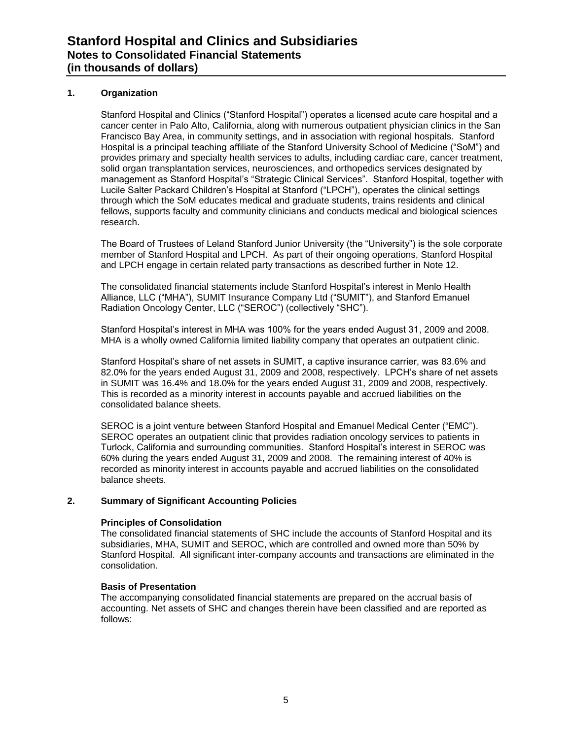#### **1. Organization**

Stanford Hospital and Clinics ("Stanford Hospital") operates a licensed acute care hospital and a cancer center in Palo Alto, California, along with numerous outpatient physician clinics in the San Francisco Bay Area, in community settings, and in association with regional hospitals. Stanford Hospital is a principal teaching affiliate of the Stanford University School of Medicine ("SoM") and provides primary and specialty health services to adults, including cardiac care, cancer treatment, solid organ transplantation services, neurosciences, and orthopedics services designated by management as Stanford Hospital's "Strategic Clinical Services". Stanford Hospital, together with Lucile Salter Packard Children's Hospital at Stanford ("LPCH"), operates the clinical settings through which the SoM educates medical and graduate students, trains residents and clinical fellows, supports faculty and community clinicians and conducts medical and biological sciences research.

The Board of Trustees of Leland Stanford Junior University (the "University") is the sole corporate member of Stanford Hospital and LPCH. As part of their ongoing operations, Stanford Hospital and LPCH engage in certain related party transactions as described further in Note 12.

The consolidated financial statements include Stanford Hospital's interest in Menlo Health Alliance, LLC ("MHA"), SUMIT Insurance Company Ltd ("SUMIT"), and Stanford Emanuel Radiation Oncology Center, LLC ("SEROC") (collectively "SHC").

Stanford Hospital's interest in MHA was 100% for the years ended August 31, 2009 and 2008. MHA is a wholly owned California limited liability company that operates an outpatient clinic.

Stanford Hospital's share of net assets in SUMIT, a captive insurance carrier, was 83.6% and 82.0% for the years ended August 31, 2009 and 2008, respectively. LPCH's share of net assets in SUMIT was 16.4% and 18.0% for the years ended August 31, 2009 and 2008, respectively. This is recorded as a minority interest in accounts payable and accrued liabilities on the consolidated balance sheets.

SEROC is a joint venture between Stanford Hospital and Emanuel Medical Center ("EMC"). SEROC operates an outpatient clinic that provides radiation oncology services to patients in Turlock, California and surrounding communities. Stanford Hospital's interest in SEROC was 60% during the years ended August 31, 2009 and 2008. The remaining interest of 40% is recorded as minority interest in accounts payable and accrued liabilities on the consolidated balance sheets.

#### **2. Summary of Significant Accounting Policies**

#### **Principles of Consolidation**

The consolidated financial statements of SHC include the accounts of Stanford Hospital and its subsidiaries, MHA, SUMIT and SEROC, which are controlled and owned more than 50% by Stanford Hospital. All significant inter-company accounts and transactions are eliminated in the consolidation.

#### **Basis of Presentation**

The accompanying consolidated financial statements are prepared on the accrual basis of accounting. Net assets of SHC and changes therein have been classified and are reported as follows: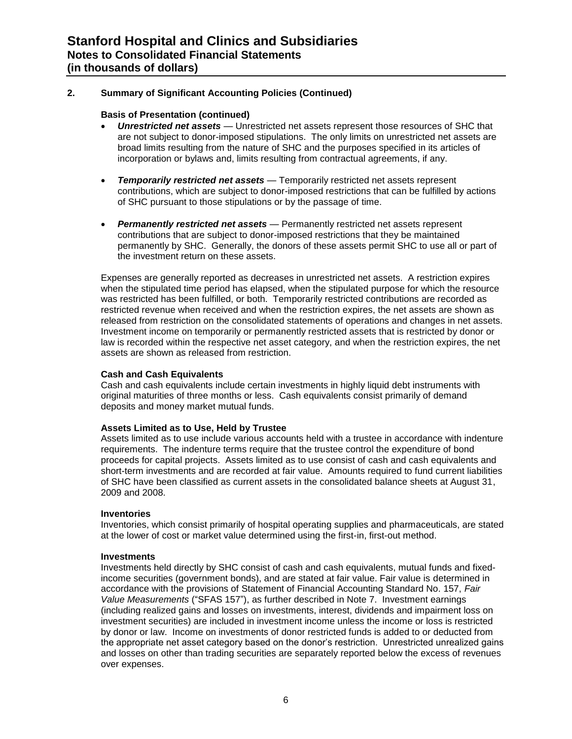#### **Basis of Presentation (continued)**

- *Unrestricted net assets* Unrestricted net assets represent those resources of SHC that are not subject to donor-imposed stipulations. The only limits on unrestricted net assets are broad limits resulting from the nature of SHC and the purposes specified in its articles of incorporation or bylaws and, limits resulting from contractual agreements, if any.
- *Temporarily restricted net assets* Temporarily restricted net assets represent contributions, which are subject to donor-imposed restrictions that can be fulfilled by actions of SHC pursuant to those stipulations or by the passage of time.
- *Permanently restricted net assets* Permanently restricted net assets represent contributions that are subject to donor-imposed restrictions that they be maintained permanently by SHC. Generally, the donors of these assets permit SHC to use all or part of the investment return on these assets.

Expenses are generally reported as decreases in unrestricted net assets. A restriction expires when the stipulated time period has elapsed, when the stipulated purpose for which the resource was restricted has been fulfilled, or both. Temporarily restricted contributions are recorded as restricted revenue when received and when the restriction expires, the net assets are shown as released from restriction on the consolidated statements of operations and changes in net assets. Investment income on temporarily or permanently restricted assets that is restricted by donor or law is recorded within the respective net asset category, and when the restriction expires, the net assets are shown as released from restriction.

#### **Cash and Cash Equivalents**

Cash and cash equivalents include certain investments in highly liquid debt instruments with original maturities of three months or less. Cash equivalents consist primarily of demand deposits and money market mutual funds.

#### **Assets Limited as to Use, Held by Trustee**

Assets limited as to use include various accounts held with a trustee in accordance with indenture requirements. The indenture terms require that the trustee control the expenditure of bond proceeds for capital projects. Assets limited as to use consist of cash and cash equivalents and short-term investments and are recorded at fair value. Amounts required to fund current liabilities of SHC have been classified as current assets in the consolidated balance sheets at August 31, 2009 and 2008.

#### **Inventories**

Inventories, which consist primarily of hospital operating supplies and pharmaceuticals, are stated at the lower of cost or market value determined using the first-in, first-out method.

#### **Investments**

Investments held directly by SHC consist of cash and cash equivalents, mutual funds and fixedincome securities (government bonds), and are stated at fair value. Fair value is determined in accordance with the provisions of Statement of Financial Accounting Standard No. 157, *Fair*  Value Measurements ("SFAS 157"), as further described in Note 7. Investment earnings (including realized gains and losses on investments, interest, dividends and impairment loss on investment securities) are included in investment income unless the income or loss is restricted by donor or law. Income on investments of donor restricted funds is added to or deducted from the appropriate net asset category based on the donor's restriction. Unrestricted unrealized gains and losses on other than trading securities are separately reported below the excess of revenues over expenses.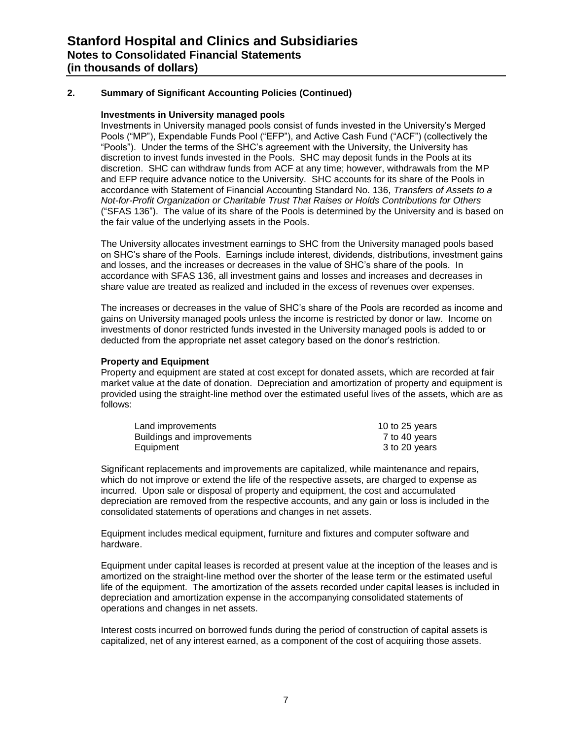#### **Investments in University managed pools**

Investments in University managed pools consist of funds invested in the University's Merged Pools ("MP"), Expendable Funds Pool ("EFP"), and Active Cash Fund ("ACF") (collectively the "Pools"). Under the terms of the SHC's agreement with the University, the University has discretion to invest funds invested in the Pools. SHC may deposit funds in the Pools at its discretion. SHC can withdraw funds from ACF at any time; however, withdrawals from the MP and EFP require advance notice to the University. SHC accounts for its share of the Pools in accordance with Statement of Financial Accounting Standard No. 136, *Transfers of Assets to a Not-for-Profit Organization or Charitable Trust That Raises or Holds Contributions for Others* (―SFAS 136‖). The value of its share of the Pools is determined by the University and is based on the fair value of the underlying assets in the Pools.

The University allocates investment earnings to SHC from the University managed pools based on SHC's share of the Pools. Earnings include interest, dividends, distributions, investment gains and losses, and the increases or decreases in the value of SHC's share of the pools. In accordance with SFAS 136, all investment gains and losses and increases and decreases in share value are treated as realized and included in the excess of revenues over expenses.

The increases or decreases in the value of SHC's share of the Pools are recorded as income and gains on University managed pools unless the income is restricted by donor or law. Income on investments of donor restricted funds invested in the University managed pools is added to or deducted from the appropriate net asset category based on the donor's restriction.

#### **Property and Equipment**

Property and equipment are stated at cost except for donated assets, which are recorded at fair market value at the date of donation. Depreciation and amortization of property and equipment is provided using the straight-line method over the estimated useful lives of the assets, which are as follows:

| Land improvements          | 10 to 25 years |
|----------------------------|----------------|
| Buildings and improvements | 7 to 40 years  |
| Equipment                  | 3 to 20 years  |

Significant replacements and improvements are capitalized, while maintenance and repairs, which do not improve or extend the life of the respective assets, are charged to expense as incurred. Upon sale or disposal of property and equipment, the cost and accumulated depreciation are removed from the respective accounts, and any gain or loss is included in the consolidated statements of operations and changes in net assets.

Equipment includes medical equipment, furniture and fixtures and computer software and hardware.

Equipment under capital leases is recorded at present value at the inception of the leases and is amortized on the straight-line method over the shorter of the lease term or the estimated useful life of the equipment. The amortization of the assets recorded under capital leases is included in depreciation and amortization expense in the accompanying consolidated statements of operations and changes in net assets.

Interest costs incurred on borrowed funds during the period of construction of capital assets is capitalized, net of any interest earned, as a component of the cost of acquiring those assets.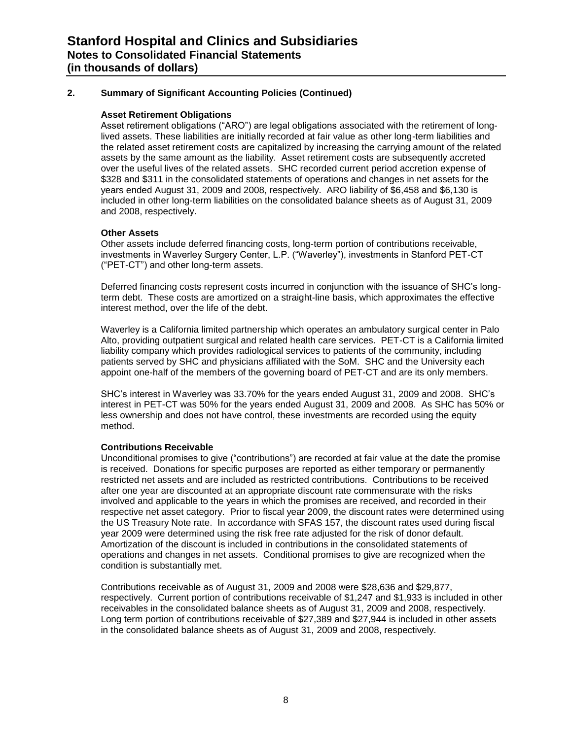#### **Asset Retirement Obligations**

Asset retirement obligations ("ARO") are legal obligations associated with the retirement of longlived assets. These liabilities are initially recorded at fair value as other long-term liabilities and the related asset retirement costs are capitalized by increasing the carrying amount of the related assets by the same amount as the liability. Asset retirement costs are subsequently accreted over the useful lives of the related assets. SHC recorded current period accretion expense of \$328 and \$311 in the consolidated statements of operations and changes in net assets for the years ended August 31, 2009 and 2008, respectively. ARO liability of \$6,458 and \$6,130 is included in other long-term liabilities on the consolidated balance sheets as of August 31, 2009 and 2008, respectively.

#### **Other Assets**

Other assets include deferred financing costs, long-term portion of contributions receivable, investments in Waverley Surgery Center, L.P. ("Waverley"), investments in Stanford PET-CT (―PET-CT‖) and other long-term assets.

Deferred financing costs represent costs incurred in conjunction with the issuance of SHC's longterm debt. These costs are amortized on a straight-line basis, which approximates the effective interest method, over the life of the debt.

Waverley is a California limited partnership which operates an ambulatory surgical center in Palo Alto, providing outpatient surgical and related health care services. PET-CT is a California limited liability company which provides radiological services to patients of the community, including patients served by SHC and physicians affiliated with the SoM. SHC and the University each appoint one-half of the members of the governing board of PET-CT and are its only members.

SHC's interest in Waverley was 33.70% for the years ended August 31, 2009 and 2008. SHC's interest in PET-CT was 50% for the years ended August 31, 2009 and 2008. As SHC has 50% or less ownership and does not have control, these investments are recorded using the equity method.

#### **Contributions Receivable**

Unconditional promises to give ("contributions") are recorded at fair value at the date the promise is received. Donations for specific purposes are reported as either temporary or permanently restricted net assets and are included as restricted contributions. Contributions to be received after one year are discounted at an appropriate discount rate commensurate with the risks involved and applicable to the years in which the promises are received, and recorded in their respective net asset category. Prior to fiscal year 2009, the discount rates were determined using the US Treasury Note rate. In accordance with SFAS 157, the discount rates used during fiscal year 2009 were determined using the risk free rate adjusted for the risk of donor default. Amortization of the discount is included in contributions in the consolidated statements of operations and changes in net assets. Conditional promises to give are recognized when the condition is substantially met.

Contributions receivable as of August 31, 2009 and 2008 were \$28,636 and \$29,877, respectively. Current portion of contributions receivable of \$1,247 and \$1,933 is included in other receivables in the consolidated balance sheets as of August 31, 2009 and 2008, respectively. Long term portion of contributions receivable of \$27,389 and \$27,944 is included in other assets in the consolidated balance sheets as of August 31, 2009 and 2008, respectively.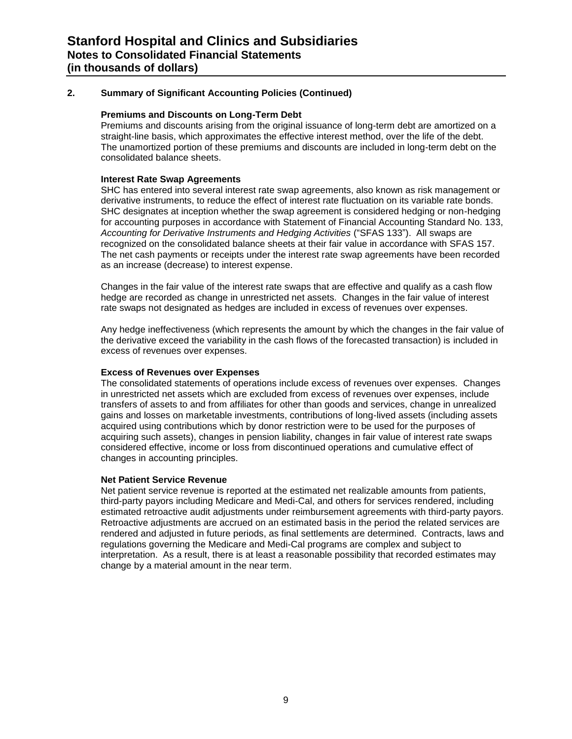#### **Premiums and Discounts on Long-Term Debt**

Premiums and discounts arising from the original issuance of long-term debt are amortized on a straight-line basis, which approximates the effective interest method, over the life of the debt. The unamortized portion of these premiums and discounts are included in long-term debt on the consolidated balance sheets.

#### **Interest Rate Swap Agreements**

SHC has entered into several interest rate swap agreements, also known as risk management or derivative instruments, to reduce the effect of interest rate fluctuation on its variable rate bonds. SHC designates at inception whether the swap agreement is considered hedging or non-hedging for accounting purposes in accordance with Statement of Financial Accounting Standard No. 133, Accounting for Derivative Instruments and Hedging Activities ("SFAS 133"). All swaps are recognized on the consolidated balance sheets at their fair value in accordance with SFAS 157. The net cash payments or receipts under the interest rate swap agreements have been recorded as an increase (decrease) to interest expense.

Changes in the fair value of the interest rate swaps that are effective and qualify as a cash flow hedge are recorded as change in unrestricted net assets. Changes in the fair value of interest rate swaps not designated as hedges are included in excess of revenues over expenses.

Any hedge ineffectiveness (which represents the amount by which the changes in the fair value of the derivative exceed the variability in the cash flows of the forecasted transaction) is included in excess of revenues over expenses.

#### **Excess of Revenues over Expenses**

The consolidated statements of operations include excess of revenues over expenses. Changes in unrestricted net assets which are excluded from excess of revenues over expenses, include transfers of assets to and from affiliates for other than goods and services, change in unrealized gains and losses on marketable investments, contributions of long-lived assets (including assets acquired using contributions which by donor restriction were to be used for the purposes of acquiring such assets), changes in pension liability, changes in fair value of interest rate swaps considered effective, income or loss from discontinued operations and cumulative effect of changes in accounting principles.

#### **Net Patient Service Revenue**

Net patient service revenue is reported at the estimated net realizable amounts from patients, third-party payors including Medicare and Medi-Cal, and others for services rendered, including estimated retroactive audit adjustments under reimbursement agreements with third-party payors. Retroactive adjustments are accrued on an estimated basis in the period the related services are rendered and adjusted in future periods, as final settlements are determined. Contracts, laws and regulations governing the Medicare and Medi-Cal programs are complex and subject to interpretation. As a result, there is at least a reasonable possibility that recorded estimates may change by a material amount in the near term.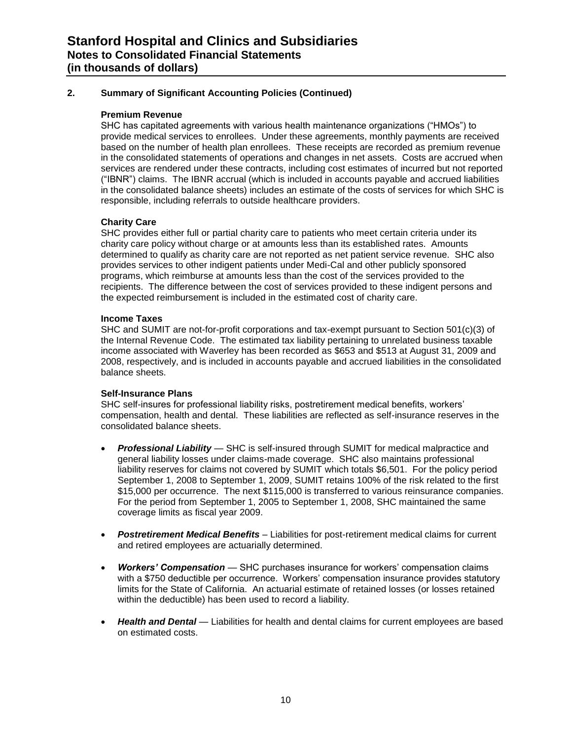#### **Premium Revenue**

SHC has capitated agreements with various health maintenance organizations ("HMOs") to provide medical services to enrollees. Under these agreements, monthly payments are received based on the number of health plan enrollees. These receipts are recorded as premium revenue in the consolidated statements of operations and changes in net assets. Costs are accrued when services are rendered under these contracts, including cost estimates of incurred but not reported (―IBNR‖) claims. The IBNR accrual (which is included in accounts payable and accrued liabilities in the consolidated balance sheets) includes an estimate of the costs of services for which SHC is responsible, including referrals to outside healthcare providers.

#### **Charity Care**

SHC provides either full or partial charity care to patients who meet certain criteria under its charity care policy without charge or at amounts less than its established rates. Amounts determined to qualify as charity care are not reported as net patient service revenue. SHC also provides services to other indigent patients under Medi-Cal and other publicly sponsored programs, which reimburse at amounts less than the cost of the services provided to the recipients. The difference between the cost of services provided to these indigent persons and the expected reimbursement is included in the estimated cost of charity care.

#### **Income Taxes**

SHC and SUMIT are not-for-profit corporations and tax-exempt pursuant to Section 501(c)(3) of the Internal Revenue Code. The estimated tax liability pertaining to unrelated business taxable income associated with Waverley has been recorded as \$653 and \$513 at August 31, 2009 and 2008, respectively, and is included in accounts payable and accrued liabilities in the consolidated balance sheets.

#### **Self-Insurance Plans**

SHC self-insures for professional liability risks, postretirement medical benefits, workers' compensation, health and dental. These liabilities are reflected as self-insurance reserves in the consolidated balance sheets.

- *Professional Liability* SHC is self-insured through SUMIT for medical malpractice and general liability losses under claims-made coverage. SHC also maintains professional liability reserves for claims not covered by SUMIT which totals \$6,501. For the policy period September 1, 2008 to September 1, 2009, SUMIT retains 100% of the risk related to the first \$15,000 per occurrence. The next \$115,000 is transferred to various reinsurance companies. For the period from September 1, 2005 to September 1, 2008, SHC maintained the same coverage limits as fiscal year 2009.
- *Postretirement Medical Benefits* Liabilities for post-retirement medical claims for current and retired employees are actuarially determined.
- *Workers' Compensation* SHC purchases insurance for workers' compensation claims with a \$750 deductible per occurrence. Workers' compensation insurance provides statutory limits for the State of California. An actuarial estimate of retained losses (or losses retained within the deductible) has been used to record a liability.
- *Health and Dental* Liabilities for health and dental claims for current employees are based on estimated costs.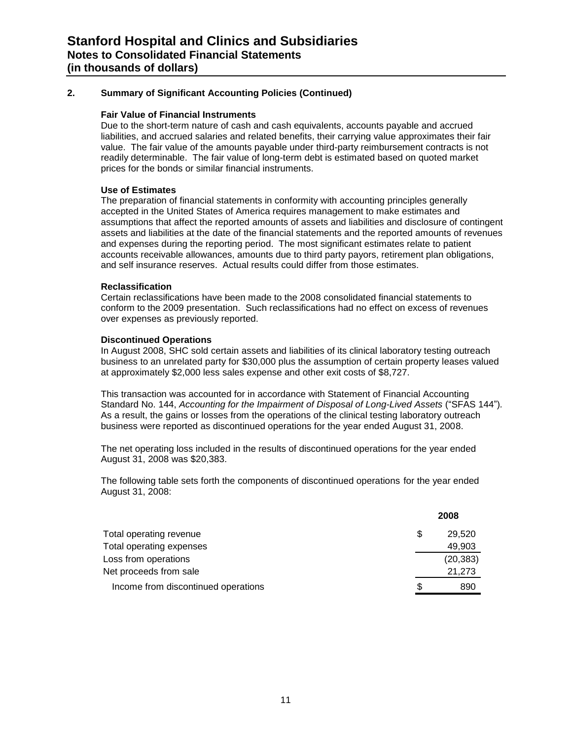#### **Fair Value of Financial Instruments**

Due to the short-term nature of cash and cash equivalents, accounts payable and accrued liabilities, and accrued salaries and related benefits, their carrying value approximates their fair value. The fair value of the amounts payable under third-party reimbursement contracts is not readily determinable. The fair value of long-term debt is estimated based on quoted market prices for the bonds or similar financial instruments.

#### **Use of Estimates**

The preparation of financial statements in conformity with accounting principles generally accepted in the United States of America requires management to make estimates and assumptions that affect the reported amounts of assets and liabilities and disclosure of contingent assets and liabilities at the date of the financial statements and the reported amounts of revenues and expenses during the reporting period. The most significant estimates relate to patient accounts receivable allowances, amounts due to third party payors, retirement plan obligations, and self insurance reserves. Actual results could differ from those estimates.

#### **Reclassification**

Certain reclassifications have been made to the 2008 consolidated financial statements to conform to the 2009 presentation. Such reclassifications had no effect on excess of revenues over expenses as previously reported.

#### **Discontinued Operations**

In August 2008, SHC sold certain assets and liabilities of its clinical laboratory testing outreach business to an unrelated party for \$30,000 plus the assumption of certain property leases valued at approximately \$2,000 less sales expense and other exit costs of \$8,727.

This transaction was accounted for in accordance with Statement of Financial Accounting Standard No. 144, *Accounting for the Impairment of Disposal of Long-Lived Assets* ("SFAS 144"). As a result, the gains or losses from the operations of the clinical testing laboratory outreach business were reported as discontinued operations for the year ended August 31, 2008.

The net operating loss included in the results of discontinued operations for the year ended August 31, 2008 was \$20,383.

The following table sets forth the components of discontinued operations for the year ended August 31, 2008:

|                                     |   | 2008      |
|-------------------------------------|---|-----------|
| Total operating revenue             | S | 29.520    |
| Total operating expenses            |   | 49,903    |
| Loss from operations                |   | (20, 383) |
| Net proceeds from sale              |   | 21,273    |
| Income from discontinued operations | S | 890       |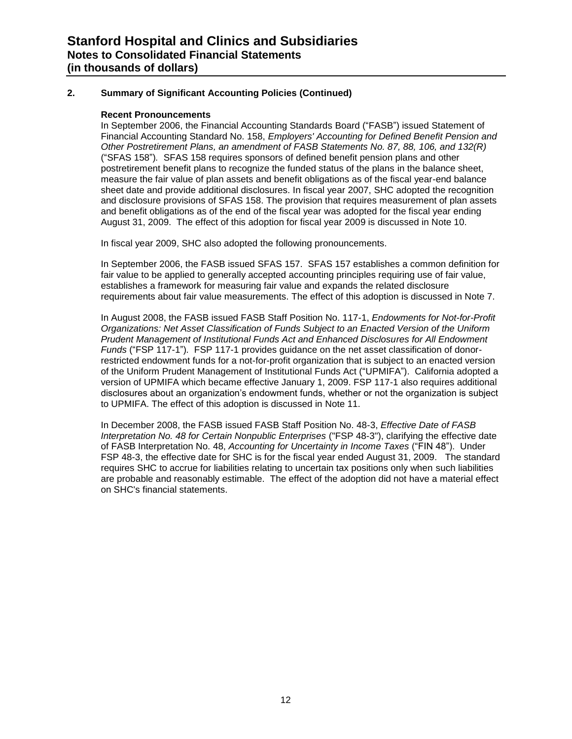#### **Recent Pronouncements**

In September 2006, the Financial Accounting Standards Board ("FASB") issued Statement of Financial Accounting Standard No. 158, *Employers' Accounting for Defined Benefit Pension and Other Postretirement Plans, an amendment of FASB Statements No. 87, 88, 106, and 132(R)* (―SFAS 158‖)*.* SFAS 158 requires sponsors of defined benefit pension plans and other postretirement benefit plans to recognize the funded status of the plans in the balance sheet, measure the fair value of plan assets and benefit obligations as of the fiscal year-end balance sheet date and provide additional disclosures. In fiscal year 2007, SHC adopted the recognition and disclosure provisions of SFAS 158. The provision that requires measurement of plan assets and benefit obligations as of the end of the fiscal year was adopted for the fiscal year ending August 31, 2009. The effect of this adoption for fiscal year 2009 is discussed in Note 10.

In fiscal year 2009, SHC also adopted the following pronouncements.

In September 2006, the FASB issued SFAS 157. SFAS 157 establishes a common definition for fair value to be applied to generally accepted accounting principles requiring use of fair value, establishes a framework for measuring fair value and expands the related disclosure requirements about fair value measurements. The effect of this adoption is discussed in Note 7.

In August 2008, the FASB issued FASB Staff Position No. 117-1, *Endowments for Not-for-Profit Organizations: Net Asset Classification of Funds Subject to an Enacted Version of the Uniform Prudent Management of Institutional Funds Act and Enhanced Disclosures for All Endowment Funds* ("FSP 117-1"). FSP 117-1 provides quidance on the net asset classification of donorrestricted endowment funds for a not-for-profit organization that is subject to an enacted version of the Uniform Prudent Management of Institutional Funds Act ("UPMIFA"). California adopted a version of UPMIFA which became effective January 1, 2009. FSP 117-1 also requires additional disclosures about an organization's endowment funds, whether or not the organization is subject to UPMIFA. The effect of this adoption is discussed in Note 11.

In December 2008, the FASB issued FASB Staff Position No. 48-3, *Effective Date of FASB Interpretation No. 48 for Certain Nonpublic Enterprises* ("FSP 48-3"), clarifying the effective date of FASB Interpretation No. 48, *Accounting for Uncertainty in Income Taxes* ("FIN 48"). Under FSP 48-3, the effective date for SHC is for the fiscal year ended August 31, 2009. The standard requires SHC to accrue for liabilities relating to uncertain tax positions only when such liabilities are probable and reasonably estimable. The effect of the adoption did not have a material effect on SHC's financial statements.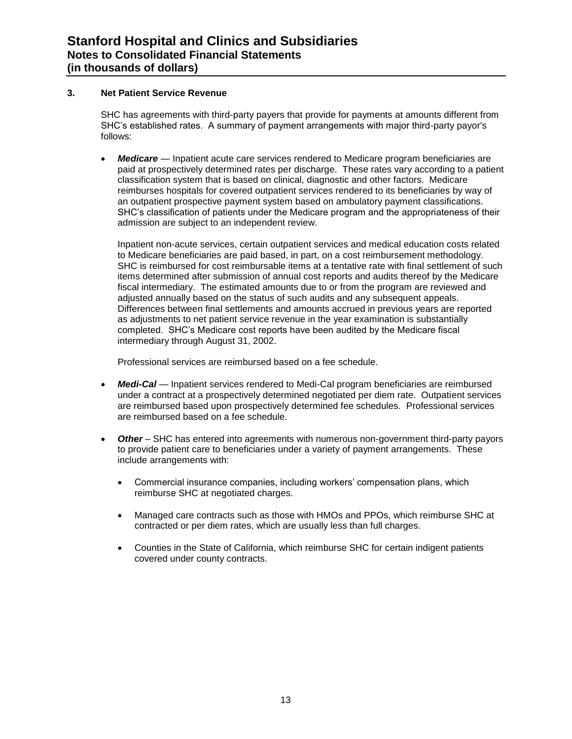#### **3. Net Patient Service Revenue**

SHC has agreements with third-party payers that provide for payments at amounts different from SHC's established rates. A summary of payment arrangements with major third-party payor's follows:

 *Medicare* — Inpatient acute care services rendered to Medicare program beneficiaries are paid at prospectively determined rates per discharge. These rates vary according to a patient classification system that is based on clinical, diagnostic and other factors. Medicare reimburses hospitals for covered outpatient services rendered to its beneficiaries by way of an outpatient prospective payment system based on ambulatory payment classifications. SHC's classification of patients under the Medicare program and the appropriateness of their admission are subject to an independent review.

Inpatient non-acute services, certain outpatient services and medical education costs related to Medicare beneficiaries are paid based, in part, on a cost reimbursement methodology. SHC is reimbursed for cost reimbursable items at a tentative rate with final settlement of such items determined after submission of annual cost reports and audits thereof by the Medicare fiscal intermediary. The estimated amounts due to or from the program are reviewed and adjusted annually based on the status of such audits and any subsequent appeals. Differences between final settlements and amounts accrued in previous years are reported as adjustments to net patient service revenue in the year examination is substantially completed. SHC's Medicare cost reports have been audited by the Medicare fiscal intermediary through August 31, 2002.

Professional services are reimbursed based on a fee schedule.

- *Medi-Cal* Inpatient services rendered to Medi-Cal program beneficiaries are reimbursed under a contract at a prospectively determined negotiated per diem rate. Outpatient services are reimbursed based upon prospectively determined fee schedules. Professional services are reimbursed based on a fee schedule.
- *Other* SHC has entered into agreements with numerous non-government third-party payors to provide patient care to beneficiaries under a variety of payment arrangements. These include arrangements with:
	- Commercial insurance companies, including workers' compensation plans, which reimburse SHC at negotiated charges.
	- Managed care contracts such as those with HMOs and PPOs, which reimburse SHC at contracted or per diem rates, which are usually less than full charges.
	- Counties in the State of California, which reimburse SHC for certain indigent patients covered under county contracts.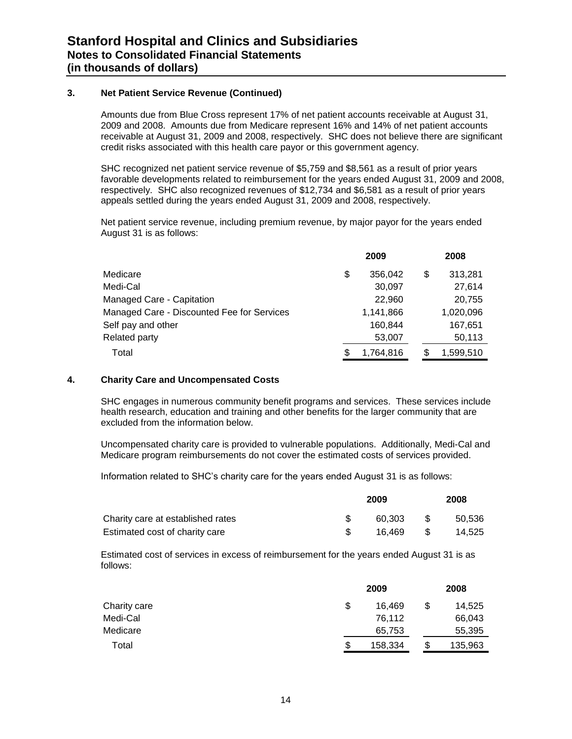#### **3. Net Patient Service Revenue (Continued)**

Amounts due from Blue Cross represent 17% of net patient accounts receivable at August 31, 2009 and 2008. Amounts due from Medicare represent 16% and 14% of net patient accounts receivable at August 31, 2009 and 2008, respectively. SHC does not believe there are significant credit risks associated with this health care payor or this government agency.

SHC recognized net patient service revenue of \$5,759 and \$8,561 as a result of prior years favorable developments related to reimbursement for the years ended August 31, 2009 and 2008, respectively. SHC also recognized revenues of \$12,734 and \$6,581 as a result of prior years appeals settled during the years ended August 31, 2009 and 2008, respectively.

Net patient service revenue, including premium revenue, by major payor for the years ended August 31 is as follows:

|                                            |    | 2009      | 2008 |           |  |
|--------------------------------------------|----|-----------|------|-----------|--|
| Medicare                                   | \$ | 356.042   | \$   | 313,281   |  |
| Medi-Cal                                   |    | 30,097    |      | 27,614    |  |
| Managed Care - Capitation                  |    | 22,960    |      | 20,755    |  |
| Managed Care - Discounted Fee for Services |    | 1,141,866 |      | 1,020,096 |  |
| Self pay and other                         |    | 160.844   |      | 167,651   |  |
| Related party                              |    | 53,007    |      | 50,113    |  |
| Total                                      |    | 1,764,816 |      | 1,599,510 |  |

#### **4. Charity Care and Uncompensated Costs**

SHC engages in numerous community benefit programs and services. These services include health research, education and training and other benefits for the larger community that are excluded from the information below.

Uncompensated charity care is provided to vulnerable populations. Additionally, Medi-Cal and Medicare program reimbursements do not cover the estimated costs of services provided.

Information related to SHC's charity care for the years ended August 31 is as follows:

|                                   | 2009 |        |      | 2008   |  |  |
|-----------------------------------|------|--------|------|--------|--|--|
| Charity care at established rates |      | 60.303 | -SS  | 50.536 |  |  |
| Estimated cost of charity care    |      | 16.469 | - \$ | 14.525 |  |  |

Estimated cost of services in excess of reimbursement for the years ended August 31 is as follows:

|              | 2009          |   | 2008    |  |  |
|--------------|---------------|---|---------|--|--|
| Charity care | \$<br>16.469  | S | 14,525  |  |  |
| Medi-Cal     | 76,112        |   | 66,043  |  |  |
| Medicare     | 65,753        |   | 55,395  |  |  |
| Total        | \$<br>158,334 | S | 135,963 |  |  |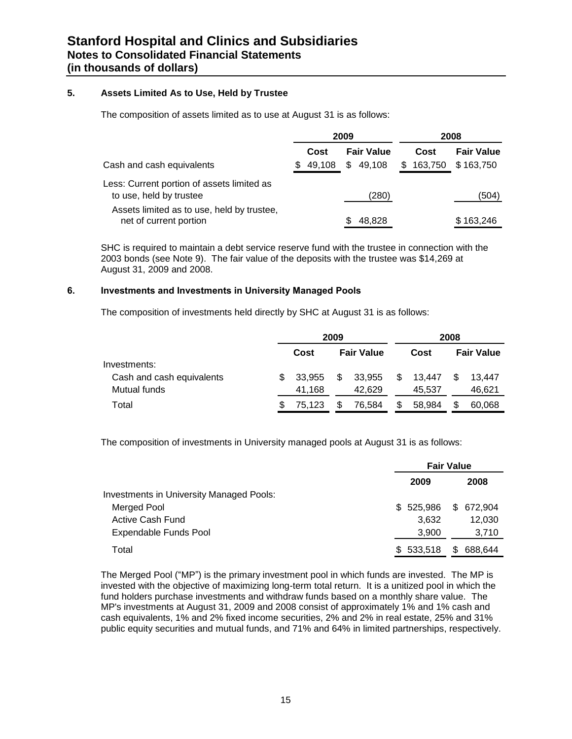#### **5. Assets Limited As to Use, Held by Trustee**

The composition of assets limited as to use at August 31 is as follows:

|                                                                       | 2009          |                   |               | 2008              |
|-----------------------------------------------------------------------|---------------|-------------------|---------------|-------------------|
|                                                                       | Cost          | <b>Fair Value</b> | Cost          | <b>Fair Value</b> |
| Cash and cash equivalents                                             | 49,108<br>\$. | \$49,108          | 163,750<br>\$ | \$163.750         |
| Less: Current portion of assets limited as<br>to use, held by trustee |               | (280)             |               | (504)             |
| Assets limited as to use, held by trustee,<br>net of current portion  |               | 48,828            |               | \$163,246         |

SHC is required to maintain a debt service reserve fund with the trustee in connection with the 2003 bonds (see Note 9). The fair value of the deposits with the trustee was \$14,269 at August 31, 2009 and 2008.

#### **6. Investments and Investments in University Managed Pools**

The composition of investments held directly by SHC at August 31 is as follows:

|                           | 2009 |        |    |                   |    | 2008   |     |                   |
|---------------------------|------|--------|----|-------------------|----|--------|-----|-------------------|
|                           |      | Cost   |    | <b>Fair Value</b> |    | Cost   |     | <b>Fair Value</b> |
| Investments:              |      |        |    |                   |    |        |     |                   |
| Cash and cash equivalents | SБ.  | 33.955 | \$ | 33,955            | \$ | 13.447 | \$. | 13.447            |
| Mutual funds              |      | 41.168 |    | 42.629            |    | 45.537 |     | 46,621            |
| Total                     |      | 75.123 | \$ | 76.584            | S  | 58,984 |     | 60,068            |

The composition of investments in University managed pools at August 31 is as follows:

|                                                 | <b>Fair Value</b> |                |
|-------------------------------------------------|-------------------|----------------|
|                                                 | 2009              | 2008           |
| <b>Investments in University Managed Pools:</b> |                   |                |
| Merged Pool                                     | \$525,986         | \$ 672,904     |
| Active Cash Fund                                | 3,632             | 12,030         |
| Expendable Funds Pool                           | 3.900             | 3,710          |
| Total                                           | \$533,518         | 688,644<br>\$. |

The Merged Pool ("MP") is the primary investment pool in which funds are invested. The MP is invested with the objective of maximizing long-term total return. It is a unitized pool in which the fund holders purchase investments and withdraw funds based on a monthly share value. The MP's investments at August 31, 2009 and 2008 consist of approximately 1% and 1% cash and cash equivalents, 1% and 2% fixed income securities, 2% and 2% in real estate, 25% and 31% public equity securities and mutual funds, and 71% and 64% in limited partnerships, respectively.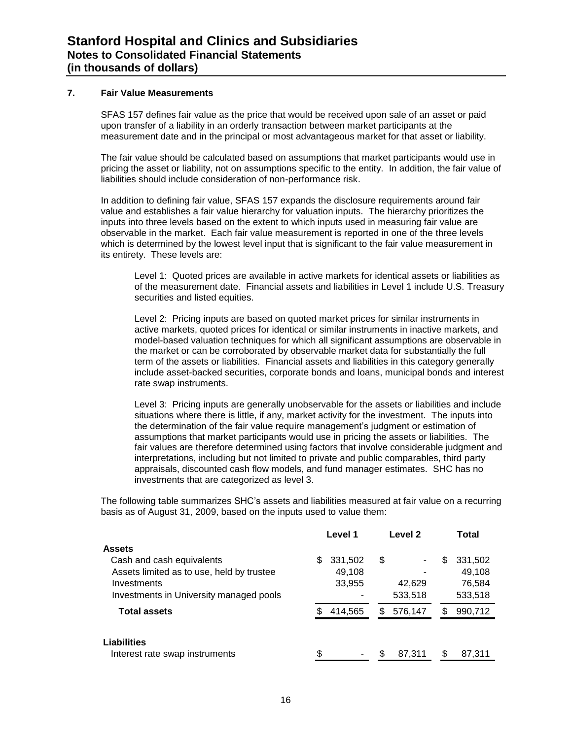#### **7. Fair Value Measurements**

SFAS 157 defines fair value as the price that would be received upon sale of an asset or paid upon transfer of a liability in an orderly transaction between market participants at the measurement date and in the principal or most advantageous market for that asset or liability.

The fair value should be calculated based on assumptions that market participants would use in pricing the asset or liability, not on assumptions specific to the entity. In addition, the fair value of liabilities should include consideration of non-performance risk.

In addition to defining fair value, SFAS 157 expands the disclosure requirements around fair value and establishes a fair value hierarchy for valuation inputs. The hierarchy prioritizes the inputs into three levels based on the extent to which inputs used in measuring fair value are observable in the market. Each fair value measurement is reported in one of the three levels which is determined by the lowest level input that is significant to the fair value measurement in its entirety. These levels are:

Level 1: Quoted prices are available in active markets for identical assets or liabilities as of the measurement date. Financial assets and liabilities in Level 1 include U.S. Treasury securities and listed equities.

Level 2: Pricing inputs are based on quoted market prices for similar instruments in active markets, quoted prices for identical or similar instruments in inactive markets, and model-based valuation techniques for which all significant assumptions are observable in the market or can be corroborated by observable market data for substantially the full term of the assets or liabilities. Financial assets and liabilities in this category generally include asset-backed securities, corporate bonds and loans, municipal bonds and interest rate swap instruments.

Level 3: Pricing inputs are generally unobservable for the assets or liabilities and include situations where there is little, if any, market activity for the investment. The inputs into the determination of the fair value require management's judgment or estimation of assumptions that market participants would use in pricing the assets or liabilities. The fair values are therefore determined using factors that involve considerable judgment and interpretations, including but not limited to private and public comparables, third party appraisals, discounted cash flow models, and fund manager estimates. SHC has no investments that are categorized as level 3.

The following table summarizes SHC's assets and liabilities measured at fair value on a recurring basis as of August 31, 2009, based on the inputs used to value them:

|                                           | Level 1      | Level <sub>2</sub> | Total        |
|-------------------------------------------|--------------|--------------------|--------------|
| Assets                                    |              |                    |              |
| Cash and cash equivalents                 | 331,502<br>S | \$<br>٠            | 331,502<br>S |
| Assets limited as to use, held by trustee | 49,108       |                    | 49,108       |
| Investments                               | 33,955       | 42,629             | 76,584       |
| Investments in University managed pools   |              | 533,518            | 533,518      |
| <b>Total assets</b>                       | 414,565      | 576,147<br>S       | 990,712      |
| Liabilities                               |              |                    |              |
| Interest rate swap instruments            | \$           | 87,311             | 87,311       |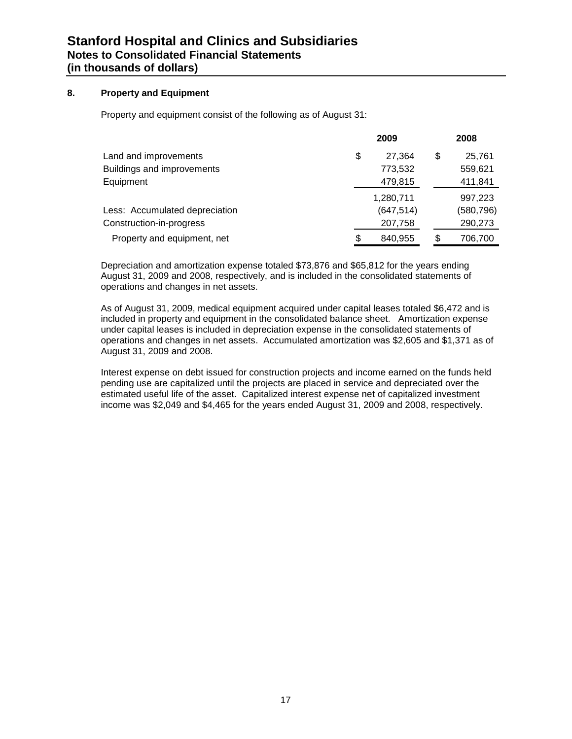#### **8. Property and Equipment**

Property and equipment consist of the following as of August 31:

|                                | 2009          | 2008         |
|--------------------------------|---------------|--------------|
| Land and improvements          | \$<br>27.364  | \$<br>25,761 |
| Buildings and improvements     | 773,532       | 559,621      |
| Equipment                      | 479,815       | 411,841      |
|                                | 1,280,711     | 997,223      |
| Less: Accumulated depreciation | (647, 514)    | (580, 796)   |
| Construction-in-progress       | 207,758       | 290,273      |
| Property and equipment, net    | \$<br>840.955 | 706,700      |

Depreciation and amortization expense totaled \$73,876 and \$65,812 for the years ending August 31, 2009 and 2008, respectively, and is included in the consolidated statements of operations and changes in net assets.

As of August 31, 2009, medical equipment acquired under capital leases totaled \$6,472 and is included in property and equipment in the consolidated balance sheet. Amortization expense under capital leases is included in depreciation expense in the consolidated statements of operations and changes in net assets. Accumulated amortization was \$2,605 and \$1,371 as of August 31, 2009 and 2008.

Interest expense on debt issued for construction projects and income earned on the funds held pending use are capitalized until the projects are placed in service and depreciated over the estimated useful life of the asset. Capitalized interest expense net of capitalized investment income was \$2,049 and \$4,465 for the years ended August 31, 2009 and 2008, respectively.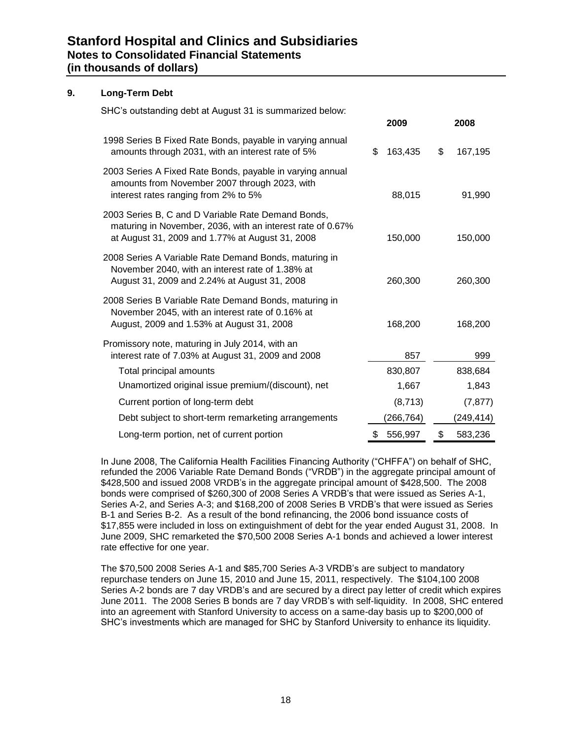#### **9. Long-Term Debt**

SHC's outstanding debt at August 31 is summarized below:

|                                                                                                                                                                     |     | 2009       | 2008          |
|---------------------------------------------------------------------------------------------------------------------------------------------------------------------|-----|------------|---------------|
| 1998 Series B Fixed Rate Bonds, payable in varying annual<br>amounts through 2031, with an interest rate of 5%                                                      | \$. | 163,435    | \$<br>167,195 |
| 2003 Series A Fixed Rate Bonds, payable in varying annual<br>amounts from November 2007 through 2023, with<br>interest rates ranging from 2% to 5%                  |     | 88,015     | 91,990        |
| 2003 Series B, C and D Variable Rate Demand Bonds,<br>maturing in November, 2036, with an interest rate of 0.67%<br>at August 31, 2009 and 1.77% at August 31, 2008 |     | 150,000    | 150,000       |
| 2008 Series A Variable Rate Demand Bonds, maturing in<br>November 2040, with an interest rate of 1.38% at<br>August 31, 2009 and 2.24% at August 31, 2008           |     | 260,300    | 260,300       |
| 2008 Series B Variable Rate Demand Bonds, maturing in<br>November 2045, with an interest rate of 0.16% at<br>August, 2009 and 1.53% at August 31, 2008              |     | 168,200    | 168,200       |
| Promissory note, maturing in July 2014, with an<br>interest rate of 7.03% at August 31, 2009 and 2008                                                               |     | 857        | 999           |
| Total principal amounts                                                                                                                                             |     | 830,807    | 838,684       |
| Unamortized original issue premium/(discount), net                                                                                                                  |     | 1,667      | 1,843         |
| Current portion of long-term debt                                                                                                                                   |     | (8, 713)   | (7, 877)      |
| Debt subject to short-term remarketing arrangements                                                                                                                 |     | (266, 764) | (249, 414)    |
| Long-term portion, net of current portion                                                                                                                           | \$  | 556,997    | \$<br>583,236 |

In June 2008, The California Health Facilities Financing Authority ("CHFFA") on behalf of SHC, refunded the 2006 Variable Rate Demand Bonds ("VRDB") in the aggregate principal amount of \$428,500 and issued 2008 VRDB's in the aggregate principal amount of \$428,500. The 2008 bonds were comprised of \$260,300 of 2008 Series A VRDB's that were issued as Series A-1, Series A-2, and Series A-3; and \$168,200 of 2008 Series B VRDB's that were issued as Series B-1 and Series B-2. As a result of the bond refinancing, the 2006 bond issuance costs of \$17,855 were included in loss on extinguishment of debt for the year ended August 31, 2008. In June 2009, SHC remarketed the \$70,500 2008 Series A-1 bonds and achieved a lower interest rate effective for one year.

The \$70,500 2008 Series A-1 and \$85,700 Series A-3 VRDB's are subject to mandatory repurchase tenders on June 15, 2010 and June 15, 2011, respectively. The \$104,100 2008 Series A-2 bonds are 7 day VRDB's and are secured by a direct pay letter of credit which expires June 2011. The 2008 Series B bonds are 7 day VRDB's with self-liquidity. In 2008, SHC entered into an agreement with Stanford University to access on a same-day basis up to \$200,000 of SHC's investments which are managed for SHC by Stanford University to enhance its liquidity.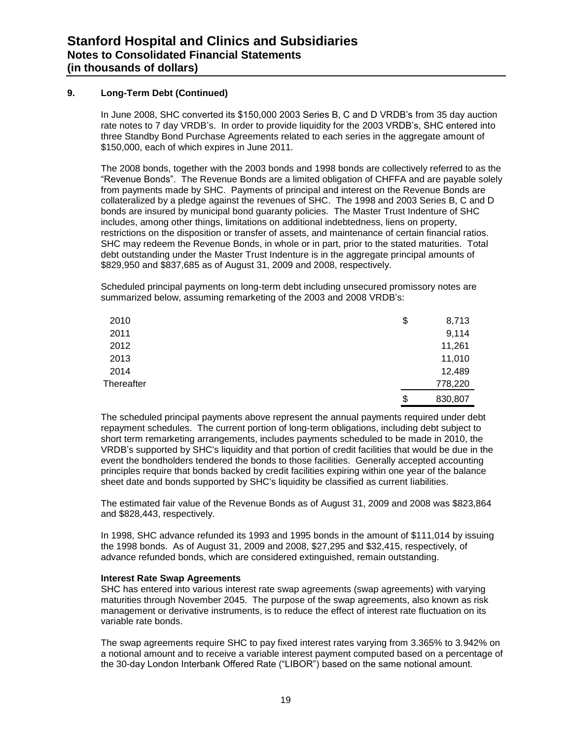#### **9. Long-Term Debt (Continued)**

In June 2008, SHC converted its \$150,000 2003 Series B, C and D VRDB's from 35 day auction rate notes to 7 day VRDB's. In order to provide liquidity for the 2003 VRDB's, SHC entered into three Standby Bond Purchase Agreements related to each series in the aggregate amount of \$150,000, each of which expires in June 2011.

The 2008 bonds, together with the 2003 bonds and 1998 bonds are collectively referred to as the "Revenue Bonds". The Revenue Bonds are a limited obligation of CHFFA and are payable solely from payments made by SHC. Payments of principal and interest on the Revenue Bonds are collateralized by a pledge against the revenues of SHC. The 1998 and 2003 Series B, C and D bonds are insured by municipal bond guaranty policies. The Master Trust Indenture of SHC includes, among other things, limitations on additional indebtedness, liens on property, restrictions on the disposition or transfer of assets, and maintenance of certain financial ratios. SHC may redeem the Revenue Bonds, in whole or in part, prior to the stated maturities. Total debt outstanding under the Master Trust Indenture is in the aggregate principal amounts of \$829,950 and \$837,685 as of August 31, 2009 and 2008, respectively.

Scheduled principal payments on long-term debt including unsecured promissory notes are summarized below, assuming remarketing of the 2003 and 2008 VRDB's:

| 2010       | \$<br>8,713   |
|------------|---------------|
| 2011       | 9,114         |
| 2012       | 11,261        |
| 2013       | 11,010        |
| 2014       | 12,489        |
| Thereafter | 778,220       |
|            | \$<br>830,807 |

The scheduled principal payments above represent the annual payments required under debt repayment schedules. The current portion of long-term obligations, including debt subject to short term remarketing arrangements, includes payments scheduled to be made in 2010, the VRDB's supported by SHC's liquidity and that portion of credit facilities that would be due in the event the bondholders tendered the bonds to those facilities. Generally accepted accounting principles require that bonds backed by credit facilities expiring within one year of the balance sheet date and bonds supported by SHC's liquidity be classified as current liabilities.

The estimated fair value of the Revenue Bonds as of August 31, 2009 and 2008 was \$823,864 and \$828,443, respectively.

In 1998, SHC advance refunded its 1993 and 1995 bonds in the amount of \$111,014 by issuing the 1998 bonds. As of August 31, 2009 and 2008, \$27,295 and \$32,415, respectively, of advance refunded bonds, which are considered extinguished, remain outstanding.

#### **Interest Rate Swap Agreements**

SHC has entered into various interest rate swap agreements (swap agreements) with varying maturities through November 2045. The purpose of the swap agreements, also known as risk management or derivative instruments, is to reduce the effect of interest rate fluctuation on its variable rate bonds.

The swap agreements require SHC to pay fixed interest rates varying from 3.365% to 3.942% on a notional amount and to receive a variable interest payment computed based on a percentage of the 30-day London Interbank Offered Rate ("LIBOR") based on the same notional amount.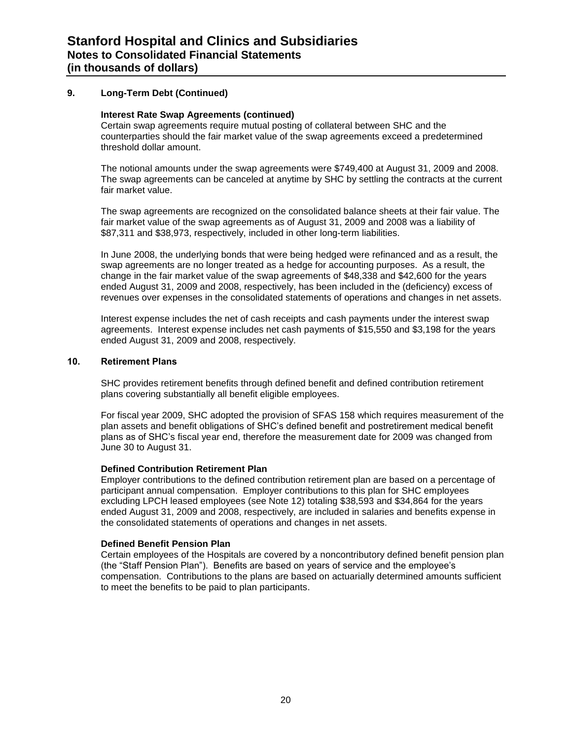#### **9. Long-Term Debt (Continued)**

#### **Interest Rate Swap Agreements (continued)**

Certain swap agreements require mutual posting of collateral between SHC and the counterparties should the fair market value of the swap agreements exceed a predetermined threshold dollar amount.

The notional amounts under the swap agreements were \$749,400 at August 31, 2009 and 2008. The swap agreements can be canceled at anytime by SHC by settling the contracts at the current fair market value.

The swap agreements are recognized on the consolidated balance sheets at their fair value. The fair market value of the swap agreements as of August 31, 2009 and 2008 was a liability of \$87,311 and \$38,973, respectively, included in other long-term liabilities.

In June 2008, the underlying bonds that were being hedged were refinanced and as a result, the swap agreements are no longer treated as a hedge for accounting purposes. As a result, the change in the fair market value of the swap agreements of \$48,338 and \$42,600 for the years ended August 31, 2009 and 2008, respectively, has been included in the (deficiency) excess of revenues over expenses in the consolidated statements of operations and changes in net assets.

Interest expense includes the net of cash receipts and cash payments under the interest swap agreements. Interest expense includes net cash payments of \$15,550 and \$3,198 for the years ended August 31, 2009 and 2008, respectively.

#### **10. Retirement Plans**

SHC provides retirement benefits through defined benefit and defined contribution retirement plans covering substantially all benefit eligible employees.

For fiscal year 2009, SHC adopted the provision of SFAS 158 which requires measurement of the plan assets and benefit obligations of SHC's defined benefit and postretirement medical benefit plans as of SHC's fiscal year end, therefore the measurement date for 2009 was changed from June 30 to August 31.

#### **Defined Contribution Retirement Plan**

Employer contributions to the defined contribution retirement plan are based on a percentage of participant annual compensation. Employer contributions to this plan for SHC employees excluding LPCH leased employees (see Note 12) totaling \$38,593 and \$34,864 for the years ended August 31, 2009 and 2008, respectively, are included in salaries and benefits expense in the consolidated statements of operations and changes in net assets.

#### **Defined Benefit Pension Plan**

Certain employees of the Hospitals are covered by a noncontributory defined benefit pension plan (the "Staff Pension Plan"). Benefits are based on years of service and the employee's compensation. Contributions to the plans are based on actuarially determined amounts sufficient to meet the benefits to be paid to plan participants.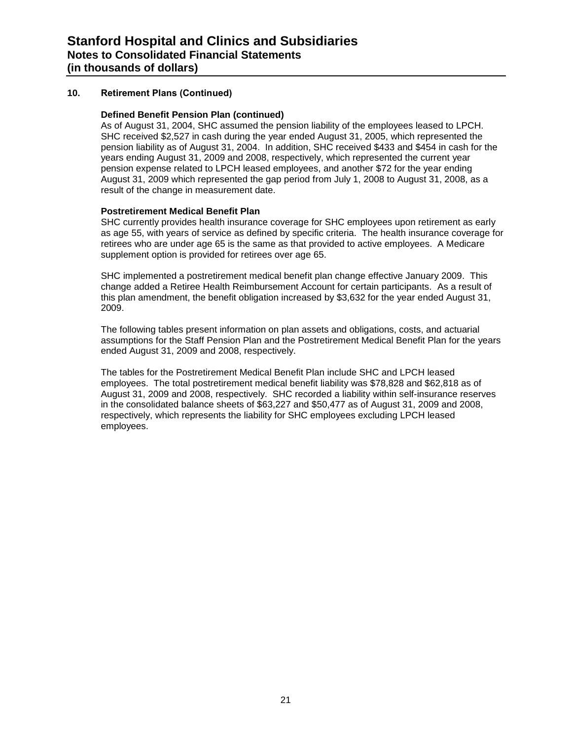#### **Defined Benefit Pension Plan (continued)**

As of August 31, 2004, SHC assumed the pension liability of the employees leased to LPCH. SHC received \$2,527 in cash during the year ended August 31, 2005, which represented the pension liability as of August 31, 2004. In addition, SHC received \$433 and \$454 in cash for the years ending August 31, 2009 and 2008, respectively, which represented the current year pension expense related to LPCH leased employees, and another \$72 for the year ending August 31, 2009 which represented the gap period from July 1, 2008 to August 31, 2008, as a result of the change in measurement date.

#### **Postretirement Medical Benefit Plan**

SHC currently provides health insurance coverage for SHC employees upon retirement as early as age 55, with years of service as defined by specific criteria. The health insurance coverage for retirees who are under age 65 is the same as that provided to active employees. A Medicare supplement option is provided for retirees over age 65.

SHC implemented a postretirement medical benefit plan change effective January 2009. This change added a Retiree Health Reimbursement Account for certain participants. As a result of this plan amendment, the benefit obligation increased by \$3,632 for the year ended August 31, 2009.

The following tables present information on plan assets and obligations, costs, and actuarial assumptions for the Staff Pension Plan and the Postretirement Medical Benefit Plan for the years ended August 31, 2009 and 2008, respectively.

The tables for the Postretirement Medical Benefit Plan include SHC and LPCH leased employees. The total postretirement medical benefit liability was \$78,828 and \$62,818 as of August 31, 2009 and 2008, respectively. SHC recorded a liability within self-insurance reserves in the consolidated balance sheets of \$63,227 and \$50,477 as of August 31, 2009 and 2008, respectively, which represents the liability for SHC employees excluding LPCH leased employees.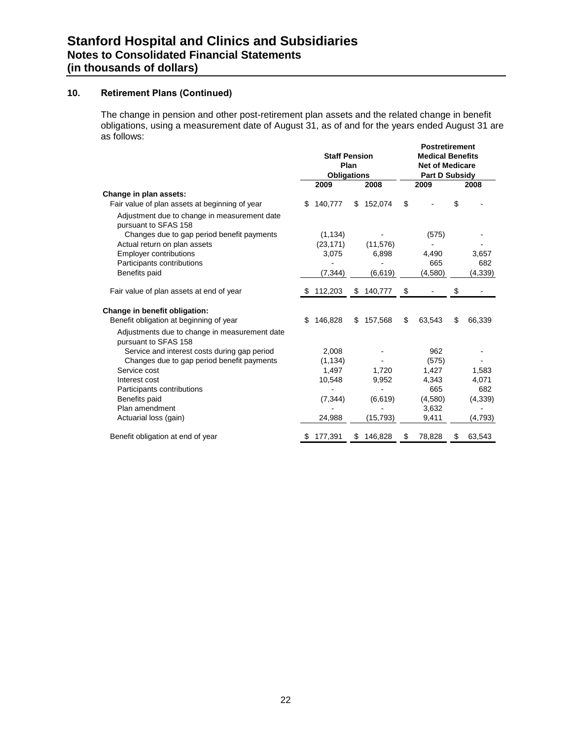The change in pension and other post-retirement plan assets and the related change in benefit obligations, using a measurement date of August 31, as of and for the years ended August 31 are as follows:

|                                                                       | <b>Staff Pension</b><br>Plan<br><b>Obligations</b> |           |    | <b>Postretirement</b><br><b>Medical Benefits</b><br><b>Net of Medicare</b><br><b>Part D Subsidy</b> |    |         |    |          |
|-----------------------------------------------------------------------|----------------------------------------------------|-----------|----|-----------------------------------------------------------------------------------------------------|----|---------|----|----------|
|                                                                       |                                                    | 2009      |    | 2008                                                                                                |    | 2009    |    | 2008     |
| Change in plan assets:                                                |                                                    |           |    |                                                                                                     |    |         |    |          |
| Fair value of plan assets at beginning of year                        | \$.                                                | 140,777   |    | \$152,074                                                                                           | \$ |         | \$ |          |
| Adjustment due to change in measurement date<br>pursuant to SFAS 158  |                                                    |           |    |                                                                                                     |    |         |    |          |
| Changes due to gap period benefit payments                            |                                                    | (1, 134)  |    |                                                                                                     |    | (575)   |    |          |
| Actual return on plan assets                                          |                                                    | (23, 171) |    | (11, 576)                                                                                           |    |         |    |          |
| Employer contributions                                                |                                                    | 3,075     |    | 6,898                                                                                               |    | 4,490   |    | 3,657    |
| Participants contributions                                            |                                                    |           |    |                                                                                                     |    | 665     |    | 682      |
| Benefits paid                                                         |                                                    | (7, 344)  |    | (6, 619)                                                                                            |    | (4,580) |    | (4, 339) |
| Fair value of plan assets at end of year                              | S                                                  | 112,203   | S. | 140,777                                                                                             | \$ |         | \$ |          |
| Change in benefit obligation:                                         |                                                    |           |    |                                                                                                     |    |         |    |          |
| Benefit obligation at beginning of year                               | \$                                                 | 146.828   | \$ | 157.568                                                                                             | \$ | 63.543  | \$ | 66,339   |
| Adjustments due to change in measurement date<br>pursuant to SFAS 158 |                                                    |           |    |                                                                                                     |    |         |    |          |
| Service and interest costs during gap period                          |                                                    | 2,008     |    |                                                                                                     |    | 962     |    |          |
| Changes due to gap period benefit payments                            |                                                    | (1, 134)  |    |                                                                                                     |    | (575)   |    |          |
| Service cost                                                          |                                                    | 1,497     |    | 1,720                                                                                               |    | 1,427   |    | 1,583    |
| Interest cost                                                         |                                                    | 10,548    |    | 9,952                                                                                               |    | 4,343   |    | 4,071    |
| Participants contributions                                            |                                                    |           |    |                                                                                                     |    | 665     |    | 682      |
| Benefits paid                                                         |                                                    | (7, 344)  |    | (6,619)                                                                                             |    | (4,580) |    | (4,339)  |
| Plan amendment                                                        |                                                    |           |    |                                                                                                     |    | 3,632   |    |          |
| Actuarial loss (gain)                                                 |                                                    | 24,988    |    | (15,793)                                                                                            |    | 9,411   |    | (4,793)  |
| Benefit obligation at end of year                                     | æ.                                                 | 177,391   | S  | 146,828                                                                                             | S  | 78,828  | S  | 63,543   |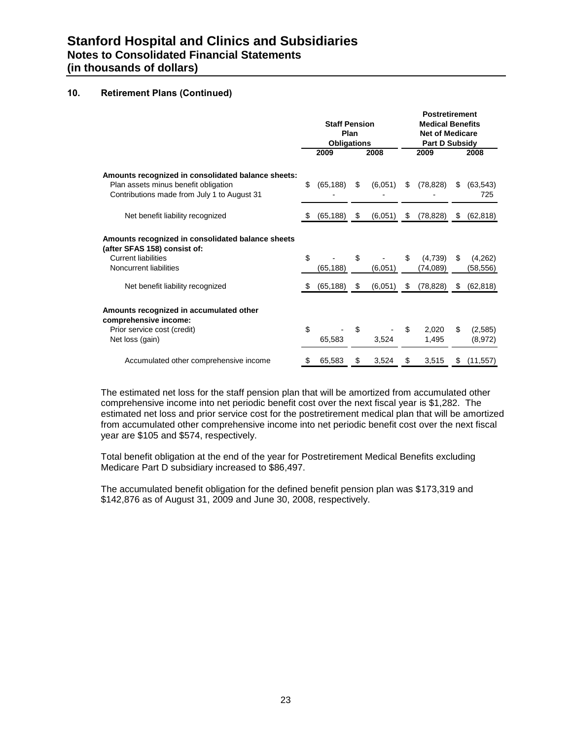|                                                                                                                                           | <b>Staff Pension</b><br>Plan<br><b>Obligations</b> |           |     |         |    | <b>Postretirement</b><br><b>Medical Benefits</b><br><b>Net of Medicare</b><br><b>Part D Subsidy</b> |    |                     |  |
|-------------------------------------------------------------------------------------------------------------------------------------------|----------------------------------------------------|-----------|-----|---------|----|-----------------------------------------------------------------------------------------------------|----|---------------------|--|
|                                                                                                                                           |                                                    | 2009      |     | 2008    |    | 2009                                                                                                |    | 2008                |  |
| Amounts recognized in consolidated balance sheets:<br>Plan assets minus benefit obligation<br>Contributions made from July 1 to August 31 | \$                                                 | (65, 188) | \$  | (6,051) | \$ | (78, 828)                                                                                           | \$ | (63, 543)<br>725    |  |
| Net benefit liability recognized                                                                                                          |                                                    | (65, 188) | \$  | (6,051) | \$ | (78, 828)                                                                                           | S  | (62, 818)           |  |
| Amounts recognized in consolidated balance sheets<br>(after SFAS 158) consist of:<br><b>Current liabilities</b><br>Noncurrent liabilities | \$                                                 | (65, 188) | \$  | (6.051) | \$ | (4,739)<br>(74,089)                                                                                 | \$ | (4,262)<br>(58,556) |  |
| Net benefit liability recognized                                                                                                          | S                                                  | (65, 188) | -\$ | (6,051) | S  | (78, 828)                                                                                           | \$ | (62, 818)           |  |
| Amounts recognized in accumulated other<br>comprehensive income:<br>Prior service cost (credit)<br>Net loss (gain)                        | \$                                                 | 65,583    | \$  | 3,524   | \$ | 2,020<br>1,495                                                                                      | \$ | (2,585)<br>(8,972)  |  |
| Accumulated other comprehensive income                                                                                                    | \$                                                 | 65,583    | \$  | 3,524   | \$ | 3,515                                                                                               | \$ | (11, 557)           |  |

The estimated net loss for the staff pension plan that will be amortized from accumulated other comprehensive income into net periodic benefit cost over the next fiscal year is \$1,282. The estimated net loss and prior service cost for the postretirement medical plan that will be amortized from accumulated other comprehensive income into net periodic benefit cost over the next fiscal year are \$105 and \$574, respectively.

Total benefit obligation at the end of the year for Postretirement Medical Benefits excluding Medicare Part D subsidiary increased to \$86,497.

The accumulated benefit obligation for the defined benefit pension plan was \$173,319 and \$142,876 as of August 31, 2009 and June 30, 2008, respectively.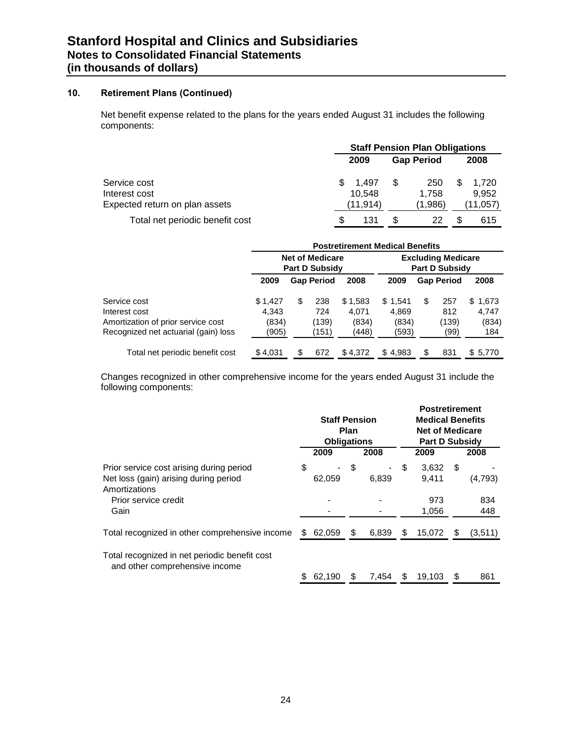Net benefit expense related to the plans for the years ended August 31 includes the following components:

|                                 | <b>Staff Pension Plan Obligations</b> |           |    |                   |   |          |  |  |  |
|---------------------------------|---------------------------------------|-----------|----|-------------------|---|----------|--|--|--|
|                                 |                                       | 2009      |    | <b>Gap Period</b> |   | 2008     |  |  |  |
| Service cost                    | S.                                    | 1.497     | \$ | 250               | S | 1.720    |  |  |  |
| Interest cost                   |                                       | 10.548    |    | 1.758             |   | 9.952    |  |  |  |
| Expected return on plan assets  |                                       | (11, 914) |    | (1,986)           |   | (11.057) |  |  |  |
| Total net periodic benefit cost | S                                     | 131       |    | 22                |   | 615      |  |  |  |

|                                      | <b>Postretirement Medical Benefits</b> |                       |                   |         |                                                    |    |                   |              |  |  |  |
|--------------------------------------|----------------------------------------|-----------------------|-------------------|---------|----------------------------------------------------|----|-------------------|--------------|--|--|--|
|                                      | <b>Net of Medicare</b>                 | <b>Part D Subsidy</b> |                   |         | <b>Excluding Medicare</b><br><b>Part D Subsidy</b> |    |                   |              |  |  |  |
|                                      | 2009                                   |                       | <b>Gap Period</b> | 2008    | 2009                                               |    | <b>Gap Period</b> | 2008         |  |  |  |
| Service cost                         | \$1,427                                | \$                    | 238               | \$1,583 | \$1,541                                            | \$ | 257               | \$.<br>1,673 |  |  |  |
| Interest cost                        | 4.343                                  |                       | 724               | 4.071   | 4.869                                              |    | 812               | 4.747        |  |  |  |
| Amortization of prior service cost   | (834)                                  |                       | (139)             | (834)   | (834)                                              |    | (139)             | (834)        |  |  |  |
| Recognized net actuarial (gain) loss | (905)                                  |                       | (151)             | (448)   | (593)                                              |    | (99)              | 184          |  |  |  |
| Total net periodic benefit cost      | \$4,031                                | S                     | 672               | \$4,372 | \$4.983                                            | \$ | 831               | \$ 5,770     |  |  |  |

Changes recognized in other comprehensive income for the years ended August 31 include the following components:

|                                                                                                    | <b>Staff Pension</b><br><b>Plan</b><br><b>Obligations</b><br>2009<br>2008 |                                        |    |       | <b>Postretirement</b><br><b>Medical Benefits</b><br><b>Net of Medicare</b><br><b>Part D Subsidy</b><br>2009 |                | 2008 |            |
|----------------------------------------------------------------------------------------------------|---------------------------------------------------------------------------|----------------------------------------|----|-------|-------------------------------------------------------------------------------------------------------------|----------------|------|------------|
| Prior service cost arising during period<br>Net loss (gain) arising during period<br>Amortizations | \$                                                                        | $\qquad \qquad \blacksquare$<br>62,059 | \$ | 6,839 | S                                                                                                           | 3.632<br>9.411 | - \$ | (4,793)    |
| Prior service credit<br>Gain                                                                       |                                                                           |                                        |    |       |                                                                                                             | 973<br>1,056   |      | 834<br>448 |
| Total recognized in other comprehensive income                                                     | SБ                                                                        | 62,059                                 | S  | 6,839 | S                                                                                                           | 15,072         | S    | (3,511)    |
| Total recognized in net periodic benefit cost<br>and other comprehensive income                    |                                                                           | 62,190                                 |    | 7.454 |                                                                                                             | 19.103         | S    | 861        |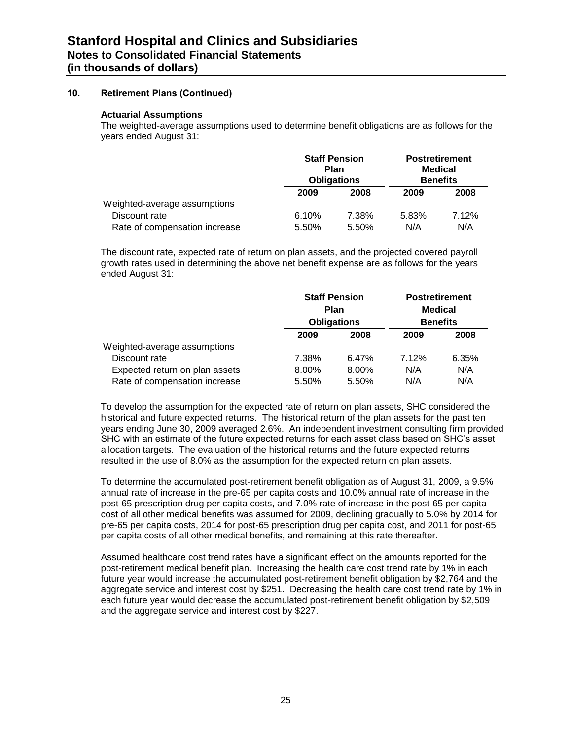#### **Actuarial Assumptions**

The weighted-average assumptions used to determine benefit obligations are as follows for the years ended August 31:

|                               |       | <b>Staff Pension</b><br>Plan<br><b>Obligations</b> |       | <b>Postretirement</b><br><b>Medical</b><br><b>Benefits</b> |
|-------------------------------|-------|----------------------------------------------------|-------|------------------------------------------------------------|
|                               | 2009  | 2008                                               | 2009  | 2008                                                       |
| Weighted-average assumptions  |       |                                                    |       |                                                            |
| Discount rate                 | 6.10% | 7.38%                                              | 5.83% | 7.12%                                                      |
| Rate of compensation increase | 5.50% | 5.50%                                              | N/A   | N/A                                                        |

The discount rate, expected rate of return on plan assets, and the projected covered payroll growth rates used in determining the above net benefit expense are as follows for the years ended August 31:

|                                |       | <b>Staff Pension</b><br>Plan<br><b>Obligations</b> |       | <b>Postretirement</b><br><b>Medical</b><br><b>Benefits</b> |
|--------------------------------|-------|----------------------------------------------------|-------|------------------------------------------------------------|
|                                | 2009  | 2008                                               | 2009  | 2008                                                       |
| Weighted-average assumptions   |       |                                                    |       |                                                            |
| Discount rate                  | 7.38% | 6.47%                                              | 7.12% | 6.35%                                                      |
| Expected return on plan assets | 8.00% | 8.00%                                              | N/A   | N/A                                                        |
| Rate of compensation increase  | 5.50% | 5.50%                                              | N/A   | N/A                                                        |

To develop the assumption for the expected rate of return on plan assets, SHC considered the historical and future expected returns. The historical return of the plan assets for the past ten years ending June 30, 2009 averaged 2.6%. An independent investment consulting firm provided SHC with an estimate of the future expected returns for each asset class based on SHC's asset allocation targets. The evaluation of the historical returns and the future expected returns resulted in the use of 8.0% as the assumption for the expected return on plan assets.

To determine the accumulated post-retirement benefit obligation as of August 31, 2009, a 9.5% annual rate of increase in the pre-65 per capita costs and 10.0% annual rate of increase in the post-65 prescription drug per capita costs, and 7.0% rate of increase in the post-65 per capita cost of all other medical benefits was assumed for 2009, declining gradually to 5.0% by 2014 for pre-65 per capita costs, 2014 for post-65 prescription drug per capita cost, and 2011 for post-65 per capita costs of all other medical benefits, and remaining at this rate thereafter.

Assumed healthcare cost trend rates have a significant effect on the amounts reported for the post-retirement medical benefit plan. Increasing the health care cost trend rate by 1% in each future year would increase the accumulated post-retirement benefit obligation by \$2,764 and the aggregate service and interest cost by \$251. Decreasing the health care cost trend rate by 1% in each future year would decrease the accumulated post-retirement benefit obligation by \$2,509 and the aggregate service and interest cost by \$227.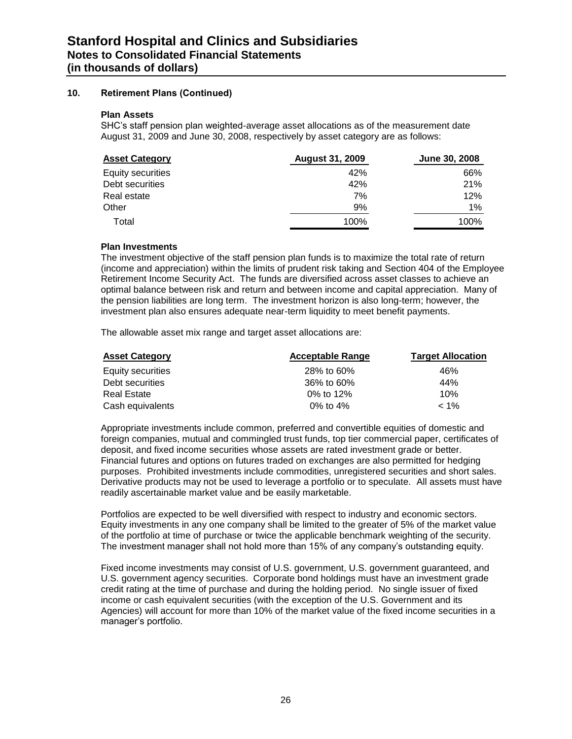#### **Plan Assets**

SHC's staff pension plan weighted-average asset allocations as of the measurement date August 31, 2009 and June 30, 2008, respectively by asset category are as follows:

| <b>Asset Category</b> | <b>August 31, 2009</b> | <b>June 30, 2008</b> |
|-----------------------|------------------------|----------------------|
| Equity securities     | 42%                    | 66%                  |
| Debt securities       | 42%                    | 21%                  |
| Real estate           | 7%                     | 12%                  |
| Other                 | 9%                     | 1%                   |
| Total                 | 100%                   | 100%                 |

#### **Plan Investments**

The investment objective of the staff pension plan funds is to maximize the total rate of return (income and appreciation) within the limits of prudent risk taking and Section 404 of the Employee Retirement Income Security Act. The funds are diversified across asset classes to achieve an optimal balance between risk and return and between income and capital appreciation. Many of the pension liabilities are long term. The investment horizon is also long-term; however, the investment plan also ensures adequate near-term liquidity to meet benefit payments.

The allowable asset mix range and target asset allocations are:

| <b>Asset Category</b> | <b>Acceptable Range</b> | <b>Target Allocation</b> |
|-----------------------|-------------------------|--------------------------|
| Equity securities     | 28% to 60%              | 46%                      |
| Debt securities       | 36% to 60%              | 44%                      |
| <b>Real Estate</b>    | 0% to 12%               | 10%                      |
| Cash equivalents      | 0% to $4%$              | $< 1\%$                  |

Appropriate investments include common, preferred and convertible equities of domestic and foreign companies, mutual and commingled trust funds, top tier commercial paper, certificates of deposit, and fixed income securities whose assets are rated investment grade or better. Financial futures and options on futures traded on exchanges are also permitted for hedging purposes. Prohibited investments include commodities, unregistered securities and short sales. Derivative products may not be used to leverage a portfolio or to speculate. All assets must have readily ascertainable market value and be easily marketable.

Portfolios are expected to be well diversified with respect to industry and economic sectors. Equity investments in any one company shall be limited to the greater of 5% of the market value of the portfolio at time of purchase or twice the applicable benchmark weighting of the security. The investment manager shall not hold more than 15% of any company's outstanding equity.

Fixed income investments may consist of U.S. government, U.S. government guaranteed, and U.S. government agency securities. Corporate bond holdings must have an investment grade credit rating at the time of purchase and during the holding period. No single issuer of fixed income or cash equivalent securities (with the exception of the U.S. Government and its Agencies) will account for more than 10% of the market value of the fixed income securities in a manager's portfolio.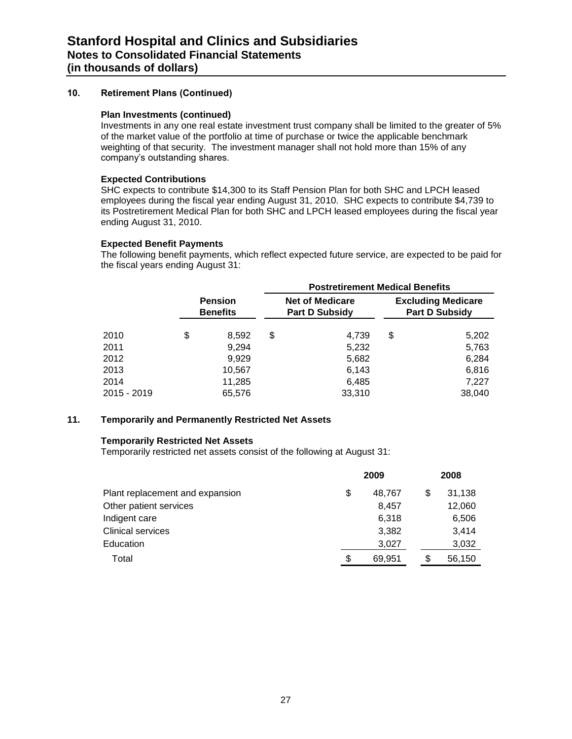#### **Plan Investments (continued)**

Investments in any one real estate investment trust company shall be limited to the greater of 5% of the market value of the portfolio at time of purchase or twice the applicable benchmark weighting of that security. The investment manager shall not hold more than 15% of any company's outstanding shares.

#### **Expected Contributions**

SHC expects to contribute \$14,300 to its Staff Pension Plan for both SHC and LPCH leased employees during the fiscal year ending August 31, 2010. SHC expects to contribute \$4,739 to its Postretirement Medical Plan for both SHC and LPCH leased employees during the fiscal year ending August 31, 2010.

#### **Expected Benefit Payments**

The following benefit payments, which reflect expected future service, are expected to be paid for the fiscal years ending August 31:

|             |                                   |        | <b>Postretirement Medical Benefits</b> |                                                 |    |                                                    |  |  |  |
|-------------|-----------------------------------|--------|----------------------------------------|-------------------------------------------------|----|----------------------------------------------------|--|--|--|
|             | <b>Pension</b><br><b>Benefits</b> |        |                                        | <b>Net of Medicare</b><br><b>Part D Subsidy</b> |    | <b>Excluding Medicare</b><br><b>Part D Subsidy</b> |  |  |  |
| 2010        | \$                                | 8,592  | \$                                     | 4,739                                           | \$ | 5,202                                              |  |  |  |
| 2011        |                                   | 9,294  |                                        | 5,232                                           |    | 5,763                                              |  |  |  |
| 2012        |                                   | 9,929  |                                        | 5,682                                           |    | 6,284                                              |  |  |  |
| 2013        |                                   | 10,567 |                                        | 6,143                                           |    | 6,816                                              |  |  |  |
| 2014        |                                   | 11,285 |                                        | 6,485                                           |    | 7,227                                              |  |  |  |
| 2015 - 2019 |                                   | 65,576 |                                        | 33,310                                          |    | 38,040                                             |  |  |  |

#### **11. Temporarily and Permanently Restricted Net Assets**

#### **Temporarily Restricted Net Assets**

Temporarily restricted net assets consist of the following at August 31:

|                                 | 2009 |        |  | 2008 |        |  |
|---------------------------------|------|--------|--|------|--------|--|
| Plant replacement and expansion | \$   | 48,767 |  | S    | 31.138 |  |
| Other patient services          |      | 8.457  |  |      | 12,060 |  |
| Indigent care                   |      | 6,318  |  |      | 6,506  |  |
| <b>Clinical services</b>        |      | 3,382  |  |      | 3.414  |  |
| <b>Education</b>                |      | 3,027  |  |      | 3,032  |  |
| Total                           | \$   | 69,951 |  | S    | 56,150 |  |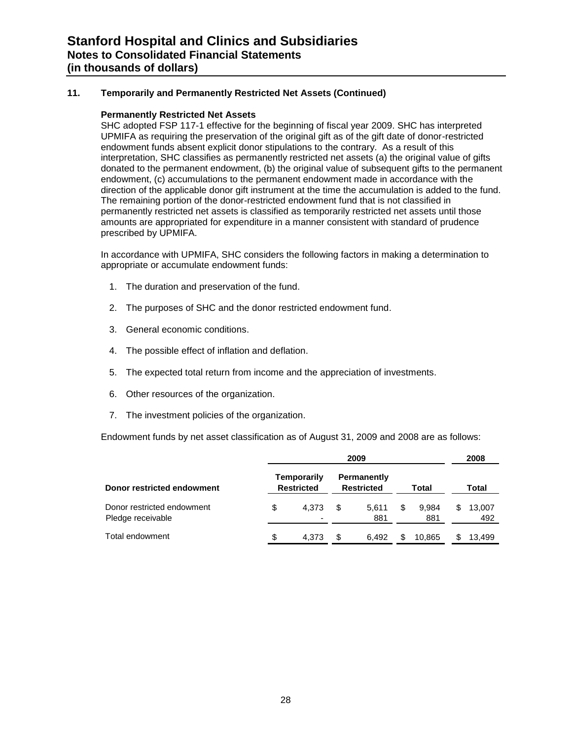#### **11. Temporarily and Permanently Restricted Net Assets (Continued)**

#### **Permanently Restricted Net Assets**

SHC adopted FSP 117-1 effective for the beginning of fiscal year 2009. SHC has interpreted UPMIFA as requiring the preservation of the original gift as of the gift date of donor-restricted endowment funds absent explicit donor stipulations to the contrary. As a result of this interpretation, SHC classifies as permanently restricted net assets (a) the original value of gifts donated to the permanent endowment, (b) the original value of subsequent gifts to the permanent endowment, (c) accumulations to the permanent endowment made in accordance with the direction of the applicable donor gift instrument at the time the accumulation is added to the fund. The remaining portion of the donor-restricted endowment fund that is not classified in permanently restricted net assets is classified as temporarily restricted net assets until those amounts are appropriated for expenditure in a manner consistent with standard of prudence prescribed by UPMIFA.

In accordance with UPMIFA, SHC considers the following factors in making a determination to appropriate or accumulate endowment funds:

- 1. The duration and preservation of the fund.
- 2. The purposes of SHC and the donor restricted endowment fund.
- 3. General economic conditions.
- 4. The possible effect of inflation and deflation.
- 5. The expected total return from income and the appreciation of investments.
- 6. Other resources of the organization.
- 7. The investment policies of the organization.

Endowment funds by net asset classification as of August 31, 2009 and 2008 are as follows:

|                                                 |                                  |     | 2009                                    |   |              |    | 2008          |
|-------------------------------------------------|----------------------------------|-----|-----------------------------------------|---|--------------|----|---------------|
| Donor restricted endowment                      | Temporarily<br><b>Restricted</b> |     | <b>Permanently</b><br><b>Restricted</b> |   | Total        |    | Total         |
| Donor restricted endowment<br>Pledge receivable | \$<br>4.373<br>-                 | \$. | 5.611<br>881                            | S | 9.984<br>881 | \$ | 13,007<br>492 |
| Total endowment                                 | \$<br>4.373                      | \$. | 6.492                                   |   | 10.865       | S. | 13.499        |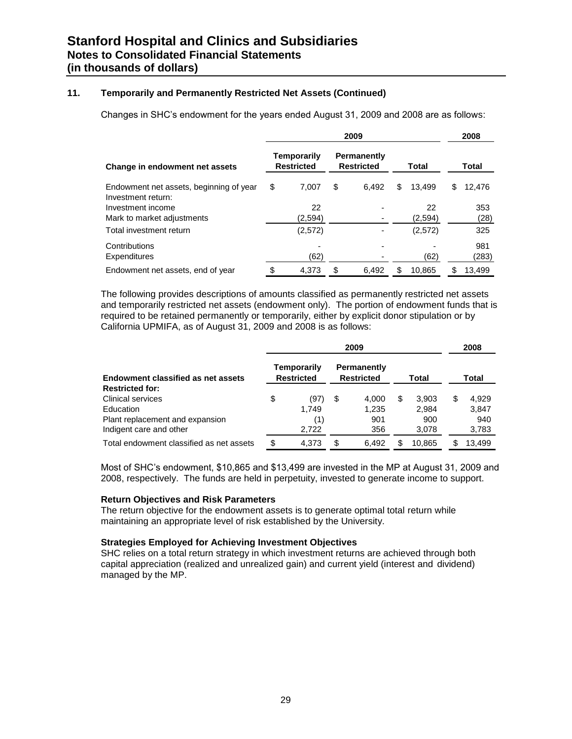#### **11. Temporarily and Permanently Restricted Net Assets (Continued)**

Changes in SHC's endowment for the years ended August 31, 2009 and 2008 are as follows:

|                                                               | 2009 |                                  |    |                                  |    |         |   | 2008   |  |
|---------------------------------------------------------------|------|----------------------------------|----|----------------------------------|----|---------|---|--------|--|
| Change in endowment net assets                                |      | Temporarily<br><b>Restricted</b> |    | Permanently<br><b>Restricted</b> |    | Total   |   | Total  |  |
| Endowment net assets, beginning of year<br>Investment return: | \$   | 7.007                            | \$ | 6.492                            | \$ | 13.499  | S | 12.476 |  |
| Investment income                                             |      | 22                               |    |                                  |    | 22      |   | 353    |  |
| Mark to market adjustments                                    |      | (2,594)                          |    |                                  |    | (2,594) |   | (28)   |  |
| Total investment return                                       |      | (2,572)                          |    |                                  |    | (2,572) |   | 325    |  |
| Contributions                                                 |      |                                  |    |                                  |    |         |   | 981    |  |
| <b>Expenditures</b>                                           |      | (62)                             |    |                                  |    | (62)    |   | (283)  |  |
| Endowment net assets, end of year                             | \$   | 4.373                            | \$ | 6.492                            | S  | 10.865  | S | 13.499 |  |

The following provides descriptions of amounts classified as permanently restricted net assets and temporarily restricted net assets (endowment only). The portion of endowment funds that is required to be retained permanently or temporarily, either by explicit donor stipulation or by California UPMIFA, as of August 31, 2009 and 2008 is as follows:

|                                          | 2009 |                                         |    |                                  |   |        |    | 2008   |
|------------------------------------------|------|-----------------------------------------|----|----------------------------------|---|--------|----|--------|
| Endowment classified as net assets       |      | <b>Temporarily</b><br><b>Restricted</b> |    | Permanently<br><b>Restricted</b> |   | Total  |    | Total  |
| <b>Restricted for:</b>                   |      |                                         |    |                                  |   |        |    |        |
| <b>Clinical services</b>                 | \$   | (97)                                    | \$ | 4.000                            | S | 3.903  | \$ | 4.929  |
| Education                                |      | 1.749                                   |    | 1,235                            |   | 2.984  |    | 3,847  |
| Plant replacement and expansion          |      | (1)                                     |    | 901                              |   | 900    |    | 940    |
| Indigent care and other                  |      | 2.722                                   |    | 356                              |   | 3,078  |    | 3,783  |
| Total endowment classified as net assets | \$   | 4,373                                   | S  | 6,492                            |   | 10.865 | S  | 13.499 |

Most of SHC's endowment, \$10,865 and \$13,499 are invested in the MP at August 31, 2009 and 2008, respectively. The funds are held in perpetuity, invested to generate income to support.

#### **Return Objectives and Risk Parameters**

The return objective for the endowment assets is to generate optimal total return while maintaining an appropriate level of risk established by the University.

#### **Strategies Employed for Achieving Investment Objectives**

SHC relies on a total return strategy in which investment returns are achieved through both capital appreciation (realized and unrealized gain) and current yield (interest and dividend) managed by the MP.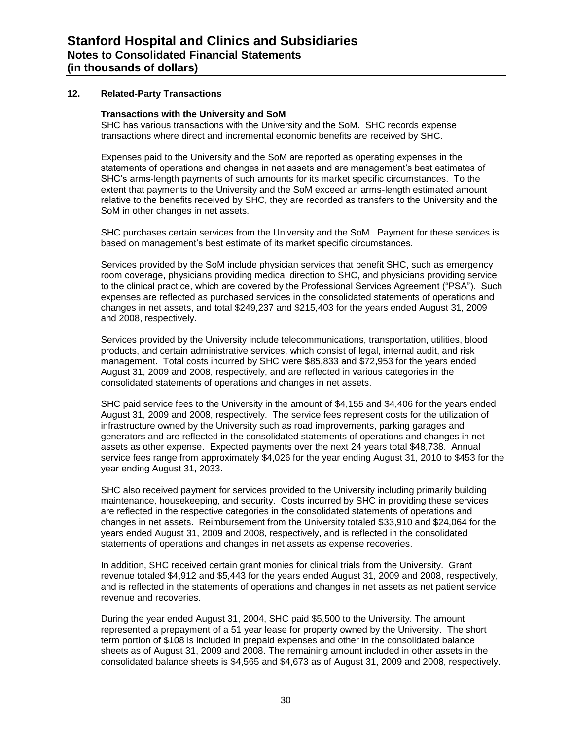#### **12. Related-Party Transactions**

#### **Transactions with the University and SoM**

SHC has various transactions with the University and the SoM. SHC records expense transactions where direct and incremental economic benefits are received by SHC.

Expenses paid to the University and the SoM are reported as operating expenses in the statements of operations and changes in net assets and are management's best estimates of SHC's arms-length payments of such amounts for its market specific circumstances. To the extent that payments to the University and the SoM exceed an arms-length estimated amount relative to the benefits received by SHC, they are recorded as transfers to the University and the SoM in other changes in net assets.

SHC purchases certain services from the University and the SoM. Payment for these services is based on management's best estimate of its market specific circumstances.

Services provided by the SoM include physician services that benefit SHC, such as emergency room coverage, physicians providing medical direction to SHC, and physicians providing service to the clinical practice, which are covered by the Professional Services Agreement ("PSA"). Such expenses are reflected as purchased services in the consolidated statements of operations and changes in net assets, and total \$249,237 and \$215,403 for the years ended August 31, 2009 and 2008, respectively.

Services provided by the University include telecommunications, transportation, utilities, blood products, and certain administrative services, which consist of legal, internal audit, and risk management. Total costs incurred by SHC were \$85,833 and \$72,953 for the years ended August 31, 2009 and 2008, respectively, and are reflected in various categories in the consolidated statements of operations and changes in net assets.

SHC paid service fees to the University in the amount of \$4,155 and \$4,406 for the years ended August 31, 2009 and 2008, respectively. The service fees represent costs for the utilization of infrastructure owned by the University such as road improvements, parking garages and generators and are reflected in the consolidated statements of operations and changes in net assets as other expense. Expected payments over the next 24 years total \$48,738. Annual service fees range from approximately \$4,026 for the year ending August 31, 2010 to \$453 for the year ending August 31, 2033.

SHC also received payment for services provided to the University including primarily building maintenance, housekeeping, and security. Costs incurred by SHC in providing these services are reflected in the respective categories in the consolidated statements of operations and changes in net assets. Reimbursement from the University totaled \$33,910 and \$24,064 for the years ended August 31, 2009 and 2008, respectively, and is reflected in the consolidated statements of operations and changes in net assets as expense recoveries.

In addition, SHC received certain grant monies for clinical trials from the University. Grant revenue totaled \$4,912 and \$5,443 for the years ended August 31, 2009 and 2008, respectively, and is reflected in the statements of operations and changes in net assets as net patient service revenue and recoveries.

During the year ended August 31, 2004, SHC paid \$5,500 to the University. The amount represented a prepayment of a 51 year lease for property owned by the University. The short term portion of \$108 is included in prepaid expenses and other in the consolidated balance sheets as of August 31, 2009 and 2008. The remaining amount included in other assets in the consolidated balance sheets is \$4,565 and \$4,673 as of August 31, 2009 and 2008, respectively.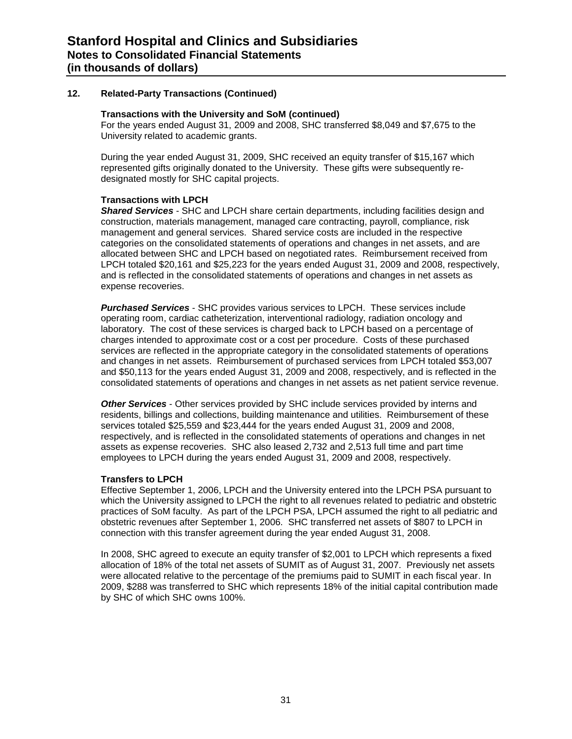#### **12. Related-Party Transactions (Continued)**

#### **Transactions with the University and SoM (continued)**

For the years ended August 31, 2009 and 2008, SHC transferred \$8,049 and \$7,675 to the University related to academic grants.

During the year ended August 31, 2009, SHC received an equity transfer of \$15,167 which represented gifts originally donated to the University. These gifts were subsequently redesignated mostly for SHC capital projects.

#### **Transactions with LPCH**

*Shared Services* - SHC and LPCH share certain departments, including facilities design and construction, materials management, managed care contracting, payroll, compliance, risk management and general services. Shared service costs are included in the respective categories on the consolidated statements of operations and changes in net assets, and are allocated between SHC and LPCH based on negotiated rates. Reimbursement received from LPCH totaled \$20,161 and \$25,223 for the years ended August 31, 2009 and 2008, respectively, and is reflected in the consolidated statements of operations and changes in net assets as expense recoveries.

*Purchased Services* - SHC provides various services to LPCH. These services include operating room, cardiac catheterization, interventional radiology, radiation oncology and laboratory. The cost of these services is charged back to LPCH based on a percentage of charges intended to approximate cost or a cost per procedure. Costs of these purchased services are reflected in the appropriate category in the consolidated statements of operations and changes in net assets. Reimbursement of purchased services from LPCH totaled \$53,007 and \$50,113 for the years ended August 31, 2009 and 2008, respectively, and is reflected in the consolidated statements of operations and changes in net assets as net patient service revenue.

*Other Services* - Other services provided by SHC include services provided by interns and residents, billings and collections, building maintenance and utilities. Reimbursement of these services totaled \$25,559 and \$23,444 for the years ended August 31, 2009 and 2008, respectively, and is reflected in the consolidated statements of operations and changes in net assets as expense recoveries. SHC also leased 2,732 and 2,513 full time and part time employees to LPCH during the years ended August 31, 2009 and 2008, respectively.

#### **Transfers to LPCH**

Effective September 1, 2006, LPCH and the University entered into the LPCH PSA pursuant to which the University assigned to LPCH the right to all revenues related to pediatric and obstetric practices of SoM faculty. As part of the LPCH PSA, LPCH assumed the right to all pediatric and obstetric revenues after September 1, 2006. SHC transferred net assets of \$807 to LPCH in connection with this transfer agreement during the year ended August 31, 2008.

In 2008, SHC agreed to execute an equity transfer of \$2,001 to LPCH which represents a fixed allocation of 18% of the total net assets of SUMIT as of August 31, 2007. Previously net assets were allocated relative to the percentage of the premiums paid to SUMIT in each fiscal year. In 2009, \$288 was transferred to SHC which represents 18% of the initial capital contribution made by SHC of which SHC owns 100%.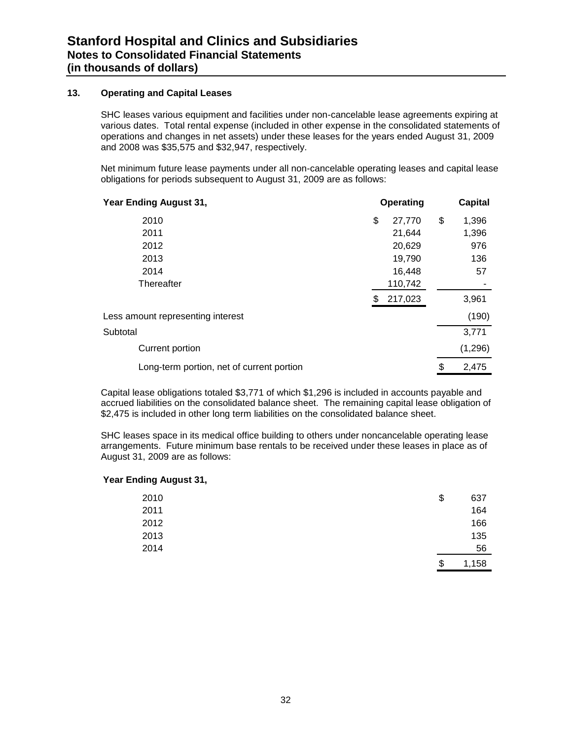#### **13. Operating and Capital Leases**

SHC leases various equipment and facilities under non-cancelable lease agreements expiring at various dates. Total rental expense (included in other expense in the consolidated statements of operations and changes in net assets) under these leases for the years ended August 31, 2009 and 2008 was \$35,575 and \$32,947, respectively.

Net minimum future lease payments under all non-cancelable operating leases and capital lease obligations for periods subsequent to August 31, 2009 are as follows:

| Year Ending August 31,                    |    | Operating | <b>Capital</b> |          |  |
|-------------------------------------------|----|-----------|----------------|----------|--|
| 2010                                      | \$ | 27,770    | \$             | 1,396    |  |
| 2011                                      |    | 21,644    |                | 1,396    |  |
| 2012                                      |    | 20,629    |                | 976      |  |
| 2013                                      |    | 19,790    |                | 136      |  |
| 2014                                      |    | 16,448    |                | 57       |  |
| Thereafter                                |    | 110,742   |                |          |  |
|                                           | S  | 217,023   |                | 3,961    |  |
| Less amount representing interest         |    |           |                | (190)    |  |
| Subtotal                                  |    |           |                | 3,771    |  |
| Current portion                           |    |           |                | (1, 296) |  |
| Long-term portion, net of current portion |    |           | \$             | 2,475    |  |

Capital lease obligations totaled \$3,771 of which \$1,296 is included in accounts payable and accrued liabilities on the consolidated balance sheet. The remaining capital lease obligation of \$2,475 is included in other long term liabilities on the consolidated balance sheet.

SHC leases space in its medical office building to others under noncancelable operating lease arrangements. Future minimum base rentals to be received under these leases in place as of August 31, 2009 are as follows:

#### **Year Ending August 31,**

| 2010 | \$<br>637   |
|------|-------------|
| 2011 | 164         |
| 2012 | 166         |
| 2013 | 135         |
| 2014 | 56          |
|      | \$<br>1,158 |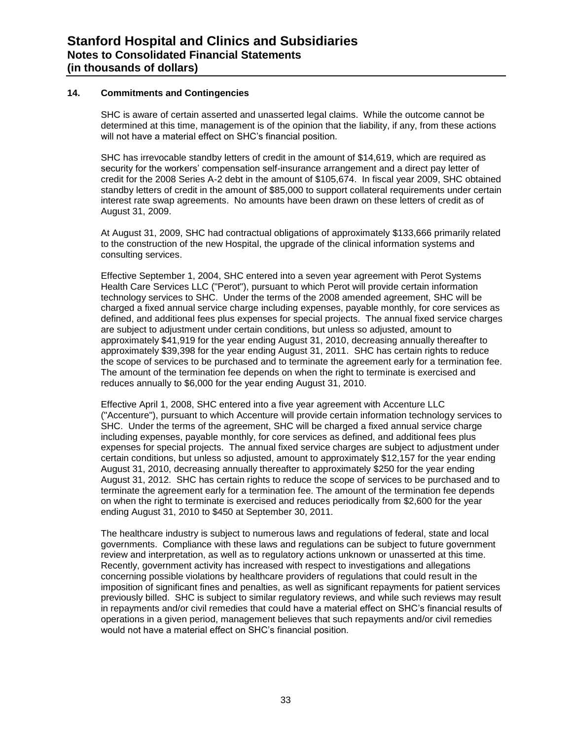#### **14. Commitments and Contingencies**

SHC is aware of certain asserted and unasserted legal claims. While the outcome cannot be determined at this time, management is of the opinion that the liability, if any, from these actions will not have a material effect on SHC's financial position.

SHC has irrevocable standby letters of credit in the amount of \$14,619, which are required as security for the workers' compensation self-insurance arrangement and a direct pay letter of credit for the 2008 Series A-2 debt in the amount of \$105,674. In fiscal year 2009, SHC obtained standby letters of credit in the amount of \$85,000 to support collateral requirements under certain interest rate swap agreements. No amounts have been drawn on these letters of credit as of August 31, 2009.

At August 31, 2009, SHC had contractual obligations of approximately \$133,666 primarily related to the construction of the new Hospital, the upgrade of the clinical information systems and consulting services.

Effective September 1, 2004, SHC entered into a seven year agreement with Perot Systems Health Care Services LLC ("Perot"), pursuant to which Perot will provide certain information technology services to SHC. Under the terms of the 2008 amended agreement, SHC will be charged a fixed annual service charge including expenses, payable monthly, for core services as defined, and additional fees plus expenses for special projects. The annual fixed service charges are subject to adjustment under certain conditions, but unless so adjusted, amount to approximately \$41,919 for the year ending August 31, 2010, decreasing annually thereafter to approximately \$39,398 for the year ending August 31, 2011. SHC has certain rights to reduce the scope of services to be purchased and to terminate the agreement early for a termination fee. The amount of the termination fee depends on when the right to terminate is exercised and reduces annually to \$6,000 for the year ending August 31, 2010.

Effective April 1, 2008, SHC entered into a five year agreement with Accenture LLC ("Accenture"), pursuant to which Accenture will provide certain information technology services to SHC. Under the terms of the agreement, SHC will be charged a fixed annual service charge including expenses, payable monthly, for core services as defined, and additional fees plus expenses for special projects. The annual fixed service charges are subject to adjustment under certain conditions, but unless so adjusted, amount to approximately \$12,157 for the year ending August 31, 2010, decreasing annually thereafter to approximately \$250 for the year ending August 31, 2012. SHC has certain rights to reduce the scope of services to be purchased and to terminate the agreement early for a termination fee. The amount of the termination fee depends on when the right to terminate is exercised and reduces periodically from \$2,600 for the year ending August 31, 2010 to \$450 at September 30, 2011*.*

The healthcare industry is subject to numerous laws and regulations of federal, state and local governments. Compliance with these laws and regulations can be subject to future government review and interpretation, as well as to regulatory actions unknown or unasserted at this time. Recently, government activity has increased with respect to investigations and allegations concerning possible violations by healthcare providers of regulations that could result in the imposition of significant fines and penalties, as well as significant repayments for patient services previously billed. SHC is subject to similar regulatory reviews, and while such reviews may result in repayments and/or civil remedies that could have a material effect on SHC's financial results of operations in a given period, management believes that such repayments and/or civil remedies would not have a material effect on SHC's financial position.